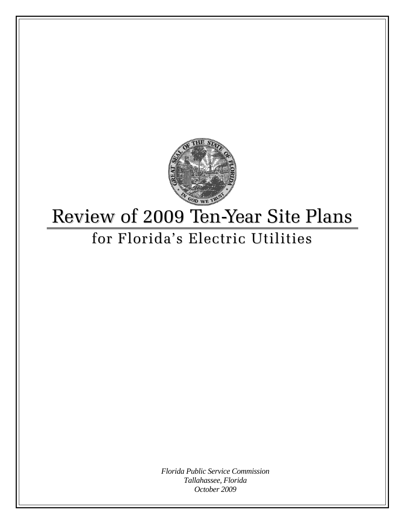

# Review of 2009 Ten-Year Site Plans for Florida's Electric Utilities

*Florida Public Service Commission Tallahassee, Florida October 2009*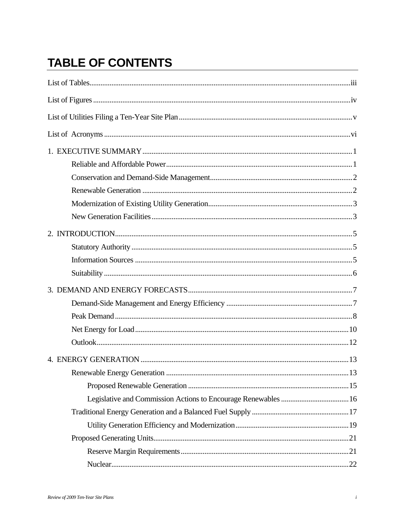## **TABLE OF CONTENTS**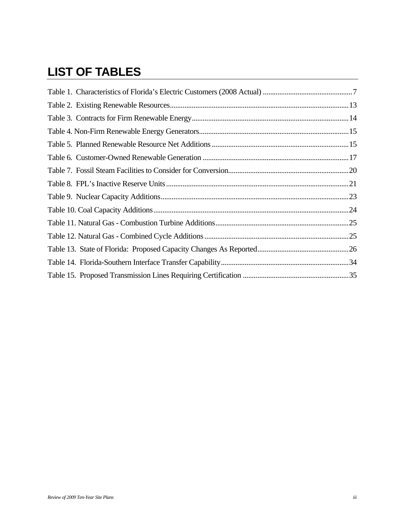## **LIST OF TABLES**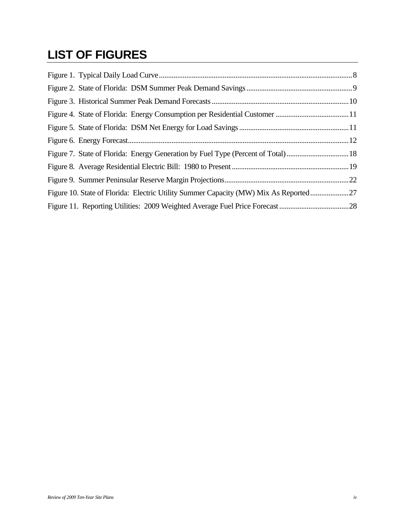## **LIST OF FIGURES**

| Figure 10. State of Florida: Electric Utility Summer Capacity (MW) Mix As Reported27 |  |
|--------------------------------------------------------------------------------------|--|
|                                                                                      |  |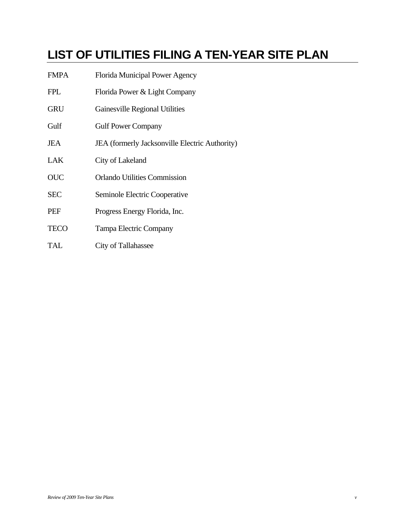## **LIST OF UTILITIES FILING A TEN-YEAR SITE PLAN**

- FMPA Florida Municipal Power Agency
- FPL Florida Power & Light Company
- GRU Gainesville Regional Utilities
- Gulf **Gulf Power Company**
- JEA JEA (formerly Jacksonville Electric Authority)
- LAK City of Lakeland
- OUC Orlando Utilities Commission
- SEC Seminole Electric Cooperative
- PEF Progress Energy Florida, Inc.
- TECO Tampa Electric Company
- TAL City of Tallahassee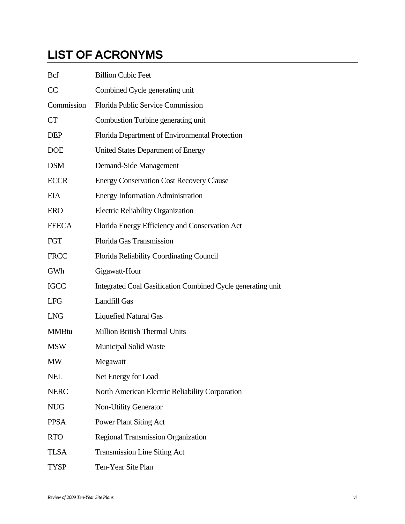## **LIST OF ACRONYMS**

| <b>Bcf</b>   | <b>Billion Cubic Feet</b>                                   |
|--------------|-------------------------------------------------------------|
| CC           | Combined Cycle generating unit                              |
| Commission   | Florida Public Service Commission                           |
| <b>CT</b>    | Combustion Turbine generating unit                          |
| <b>DEP</b>   | Florida Department of Environmental Protection              |
| <b>DOE</b>   | <b>United States Department of Energy</b>                   |
| <b>DSM</b>   | Demand-Side Management                                      |
| <b>ECCR</b>  | <b>Energy Conservation Cost Recovery Clause</b>             |
| <b>EIA</b>   | <b>Energy Information Administration</b>                    |
| <b>ERO</b>   | <b>Electric Reliability Organization</b>                    |
| <b>FEECA</b> | Florida Energy Efficiency and Conservation Act              |
| <b>FGT</b>   | Florida Gas Transmission                                    |
| <b>FRCC</b>  | Florida Reliability Coordinating Council                    |
| GWh          | Gigawatt-Hour                                               |
| <b>IGCC</b>  | Integrated Coal Gasification Combined Cycle generating unit |
| <b>LFG</b>   | <b>Landfill Gas</b>                                         |
| <b>LNG</b>   | <b>Liquefied Natural Gas</b>                                |
| <b>MMBtu</b> | <b>Million British Thermal Units</b>                        |
| <b>MSW</b>   | <b>Municipal Solid Waste</b>                                |
| <b>MW</b>    | Megawatt                                                    |
| <b>NEL</b>   | Net Energy for Load                                         |
| <b>NERC</b>  | North American Electric Reliability Corporation             |
| <b>NUG</b>   | <b>Non-Utility Generator</b>                                |
| <b>PPSA</b>  | <b>Power Plant Siting Act</b>                               |
| <b>RTO</b>   | <b>Regional Transmission Organization</b>                   |
| <b>TLSA</b>  | <b>Transmission Line Siting Act</b>                         |
| <b>TYSP</b>  | Ten-Year Site Plan                                          |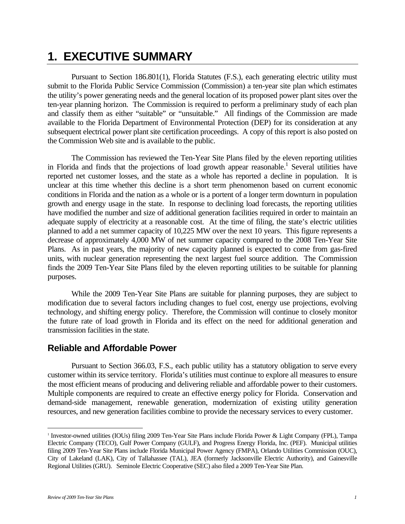## **1. EXECUTIVE SUMMARY**

Pursuant to Section 186.801(1), Florida Statutes (F.S.), each generating electric utility must submit to the Florida Public Service Commission (Commission) a ten-year site plan which estimates the utility's power generating needs and the general location of its proposed power plant sites over the ten-year planning horizon. The Commission is required to perform a preliminary study of each plan and classify them as either "suitable" or "unsuitable." All findings of the Commission are made available to the Florida Department of Environmental Protection (DEP) for its consideration at any subsequent electrical power plant site certification proceedings. A copy of this report is also posted on the Commission Web site and is available to the public.

The Commission has reviewed the Ten-Year Site Plans filed by the eleven reporting utilities in Florida and finds that the projections of load growth appear reasonable.<sup>1</sup> Several utilities have reported net customer losses, and the state as a whole has reported a decline in population. It is unclear at this time whether this decline is a short term phenomenon based on current economic conditions in Florida and the nation as a whole or is a portent of a longer term downturn in population growth and energy usage in the state. In response to declining load forecasts, the reporting utilities have modified the number and size of additional generation facilities required in order to maintain an adequate supply of electricity at a reasonable cost. At the time of filing, the state's electric utilities planned to add a net summer capacity of 10,225 MW over the next 10 years. This figure represents a decrease of approximately 4,000 MW of net summer capacity compared to the 2008 Ten-Year Site Plans. As in past years, the majority of new capacity planned is expected to come from gas-fired units, with nuclear generation representing the next largest fuel source addition. The Commission finds the 2009 Ten-Year Site Plans filed by the eleven reporting utilities to be suitable for planning purposes.

While the 2009 Ten-Year Site Plans are suitable for planning purposes, they are subject to modification due to several factors including changes to fuel cost, energy use projections, evolving technology, and shifting energy policy. Therefore, the Commission will continue to closely monitor the future rate of load growth in Florida and its effect on the need for additional generation and transmission facilities in the state.

### **Reliable and Affordable Power**

Pursuant to Section 366.03, F.S., each public utility has a statutory obligation to serve every customer within its service territory. Florida's utilities must continue to explore all measures to ensure the most efficient means of producing and delivering reliable and affordable power to their customers. Multiple components are required to create an effective energy policy for Florida. Conservation and demand-side management, renewable generation, modernization of existing utility generation resources, and new generation facilities combine to provide the necessary services to every customer.

 $\overline{a}$ 

<sup>1</sup> Investor-owned utilities (IOUs) filing 2009 Ten-Year Site Plans include Florida Power & Light Company (FPL), Tampa Electric Company (TECO), Gulf Power Company (GULF), and Progress Energy Florida, Inc. (PEF). Municipal utilities filing 2009 Ten-Year Site Plans include Florida Municipal Power Agency (FMPA), Orlando Utilities Commission (OUC), City of Lakeland (LAK), City of Tallahassee (TAL), JEA (formerly Jacksonville Electric Authority), and Gainesville Regional Utilities (GRU). Seminole Electric Cooperative (SEC) also filed a 2009 Ten-Year Site Plan.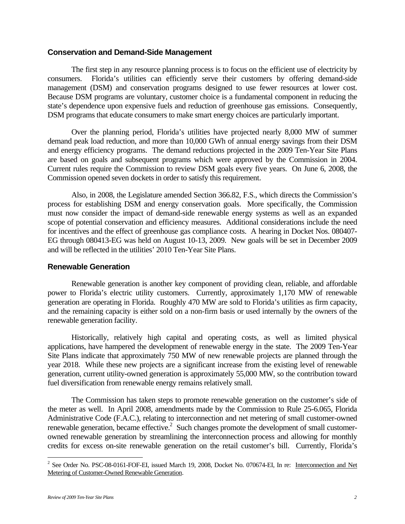#### **Conservation and Demand-Side Management**

The first step in any resource planning process is to focus on the efficient use of electricity by consumers. Florida's utilities can efficiently serve their customers by offering demand-side management (DSM) and conservation programs designed to use fewer resources at lower cost. Because DSM programs are voluntary, customer choice is a fundamental component in reducing the state's dependence upon expensive fuels and reduction of greenhouse gas emissions. Consequently, DSM programs that educate consumers to make smart energy choices are particularly important.

Over the planning period, Florida's utilities have projected nearly 8,000 MW of summer demand peak load reduction, and more than 10,000 GWh of annual energy savings from their DSM and energy efficiency programs. The demand reductions projected in the 2009 Ten-Year Site Plans are based on goals and subsequent programs which were approved by the Commission in 2004. Current rules require the Commission to review DSM goals every five years. On June 6, 2008, the Commission opened seven dockets in order to satisfy this requirement.

Also, in 2008, the Legislature amended Section 366.82, F.S., which directs the Commission's process for establishing DSM and energy conservation goals. More specifically, the Commission must now consider the impact of demand-side renewable energy systems as well as an expanded scope of potential conservation and efficiency measures. Additional considerations include the need for incentives and the effect of greenhouse gas compliance costs. A hearing in Docket Nos. 080407- EG through 080413-EG was held on August 10-13, 2009. New goals will be set in December 2009 and will be reflected in the utilities' 2010 Ten-Year Site Plans.

#### **Renewable Generation**

Renewable generation is another key component of providing clean, reliable, and affordable power to Florida's electric utility customers. Currently, approximately 1,170 MW of renewable generation are operating in Florida. Roughly 470 MW are sold to Florida's utilities as firm capacity, and the remaining capacity is either sold on a non-firm basis or used internally by the owners of the renewable generation facility.

Historically, relatively high capital and operating costs, as well as limited physical applications, have hampered the development of renewable energy in the state. The 2009 Ten-Year Site Plans indicate that approximately 750 MW of new renewable projects are planned through the year 2018. While these new projects are a significant increase from the existing level of renewable generation, current utility-owned generation is approximately 55,000 MW, so the contribution toward fuel diversification from renewable energy remains relatively small.

The Commission has taken steps to promote renewable generation on the customer's side of the meter as well. In April 2008, amendments made by the Commission to Rule 25-6.065, Florida Administrative Code (F.A.C.), relating to interconnection and net metering of small customer-owned renewable generation, became effective. $2$  Such changes promote the development of small customerowned renewable generation by streamlining the interconnection process and allowing for monthly credits for excess on-site renewable generation on the retail customer's bill. Currently, Florida's

1

<sup>&</sup>lt;sup>2</sup> See Order No. PSC-08-0161-FOF-EI, issued March 19, 2008, Docket No. 070674-EI, In re: Interconnection and Net Metering of Customer-Owned Renewable Generation.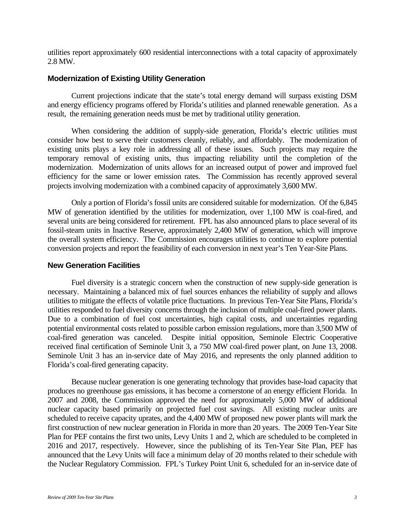utilities report approximately 600 residential interconnections with a total capacity of approximately 2.8 MW.

#### **Modernization of Existing Utility Generation**

Current projections indicate that the state's total energy demand will surpass existing DSM and energy efficiency programs offered by Florida's utilities and planned renewable generation. As a result, the remaining generation needs must be met by traditional utility generation.

When considering the addition of supply-side generation, Florida's electric utilities must consider how best to serve their customers cleanly, reliably, and affordably. The modernization of existing units plays a key role in addressing all of these issues. Such projects may require the temporary removal of existing units, thus impacting reliability until the completion of the modernization. Modernization of units allows for an increased output of power and improved fuel efficiency for the same or lower emission rates. The Commission has recently approved several projects involving modernization with a combined capacity of approximately 3,600 MW.

Only a portion of Florida's fossil units are considered suitable for modernization. Of the 6,845 MW of generation identified by the utilities for modernization, over 1,100 MW is coal-fired, and several units are being considered for retirement. FPL has also announced plans to place several of its fossil-steam units in Inactive Reserve, approximately 2,400 MW of generation, which will improve the overall system efficiency. The Commission encourages utilities to continue to explore potential conversion projects and report the feasibility of each conversion in next year's Ten Year-Site Plans.

#### **New Generation Facilities**

Fuel diversity is a strategic concern when the construction of new supply-side generation is necessary. Maintaining a balanced mix of fuel sources enhances the reliability of supply and allows utilities to mitigate the effects of volatile price fluctuations. In previous Ten-Year Site Plans, Florida's utilities responded to fuel diversity concerns through the inclusion of multiple coal-fired power plants. Due to a combination of fuel cost uncertainties, high capital costs, and uncertainties regarding potential environmental costs related to possible carbon emission regulations, more than 3,500 MW of coal-fired generation was canceled. Despite initial opposition, Seminole Electric Cooperative received final certification of Seminole Unit 3, a 750 MW coal-fired power plant, on June 13, 2008. Seminole Unit 3 has an in-service date of May 2016, and represents the only planned addition to Florida's coal-fired generating capacity.

Because nuclear generation is one generating technology that provides base-load capacity that produces no greenhouse gas emissions, it has become a cornerstone of an energy efficient Florida. In 2007 and 2008, the Commission approved the need for approximately 5,000 MW of additional nuclear capacity based primarily on projected fuel cost savings. All existing nuclear units are scheduled to receive capacity uprates, and the 4,400 MW of proposed new power plants will mark the first construction of new nuclear generation in Florida in more than 20 years. The 2009 Ten-Year Site Plan for PEF contains the first two units, Levy Units 1 and 2, which are scheduled to be completed in 2016 and 2017, respectively. However, since the publishing of its Ten-Year Site Plan, PEF has announced that the Levy Units will face a minimum delay of 20 months related to their schedule with the Nuclear Regulatory Commission. FPL's Turkey Point Unit 6, scheduled for an in-service date of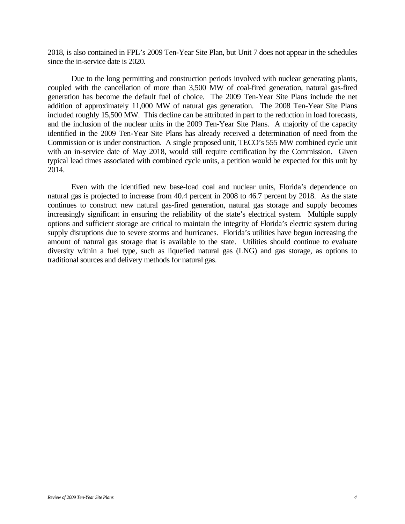2018, is also contained in FPL's 2009 Ten-Year Site Plan, but Unit 7 does not appear in the schedules since the in-service date is 2020.

Due to the long permitting and construction periods involved with nuclear generating plants, coupled with the cancellation of more than 3,500 MW of coal-fired generation, natural gas-fired generation has become the default fuel of choice. The 2009 Ten-Year Site Plans include the net addition of approximately 11,000 MW of natural gas generation. The 2008 Ten-Year Site Plans included roughly 15,500 MW. This decline can be attributed in part to the reduction in load forecasts, and the inclusion of the nuclear units in the 2009 Ten-Year Site Plans. A majority of the capacity identified in the 2009 Ten-Year Site Plans has already received a determination of need from the Commission or is under construction. A single proposed unit, TECO's 555 MW combined cycle unit with an in-service date of May 2018, would still require certification by the Commission. Given typical lead times associated with combined cycle units, a petition would be expected for this unit by 2014.

Even with the identified new base-load coal and nuclear units, Florida's dependence on natural gas is projected to increase from 40.4 percent in 2008 to 46.7 percent by 2018. As the state continues to construct new natural gas-fired generation, natural gas storage and supply becomes increasingly significant in ensuring the reliability of the state's electrical system. Multiple supply options and sufficient storage are critical to maintain the integrity of Florida's electric system during supply disruptions due to severe storms and hurricanes. Florida's utilities have begun increasing the amount of natural gas storage that is available to the state. Utilities should continue to evaluate diversity within a fuel type, such as liquefied natural gas (LNG) and gas storage, as options to traditional sources and delivery methods for natural gas.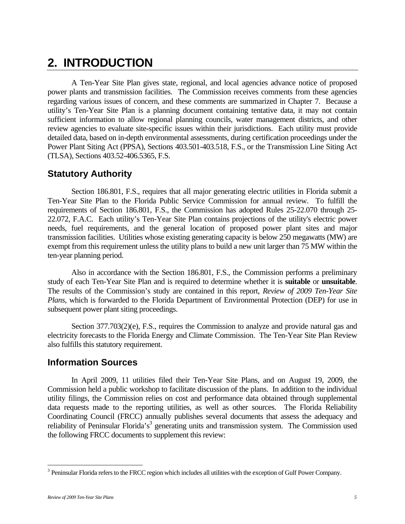## **2. INTRODUCTION**

A Ten-Year Site Plan gives state, regional, and local agencies advance notice of proposed power plants and transmission facilities. The Commission receives comments from these agencies regarding various issues of concern, and these comments are summarized in Chapter 7. Because a utility's Ten-Year Site Plan is a planning document containing tentative data, it may not contain sufficient information to allow regional planning councils, water management districts, and other review agencies to evaluate site-specific issues within their jurisdictions. Each utility must provide detailed data, based on in-depth environmental assessments, during certification proceedings under the Power Plant Siting Act (PPSA), Sections 403.501-403.518, F.S., or the Transmission Line Siting Act (TLSA), Sections 403.52-406.5365, F.S.

## **Statutory Authority**

Section 186.801, F.S., requires that all major generating electric utilities in Florida submit a Ten-Year Site Plan to the Florida Public Service Commission for annual review. To fulfill the requirements of Section 186.801, F.S., the Commission has adopted Rules 25-22.070 through 25- 22.072, F.A.C. Each utility's Ten-Year Site Plan contains projections of the utility's electric power needs, fuel requirements, and the general location of proposed power plant sites and major transmission facilities. Utilities whose existing generating capacity is below 250 megawatts (MW) are exempt from this requirement unless the utility plans to build a new unit larger than 75 MW within the ten-year planning period.

Also in accordance with the Section 186.801, F.S., the Commission performs a preliminary study of each Ten-Year Site Plan and is required to determine whether it is **suitable** or **unsuitable**. The results of the Commission's study are contained in this report, *Review of 2009 Ten-Year Site Plans*, which is forwarded to the Florida Department of Environmental Protection (DEP) for use in subsequent power plant siting proceedings.

Section 377.703(2)(e), F.S., requires the Commission to analyze and provide natural gas and electricity forecasts to the Florida Energy and Climate Commission. The Ten-Year Site Plan Review also fulfills this statutory requirement.

### **Information Sources**

In April 2009, 11 utilities filed their Ten-Year Site Plans, and on August 19, 2009, the Commission held a public workshop to facilitate discussion of the plans. In addition to the individual utility filings, the Commission relies on cost and performance data obtained through supplemental data requests made to the reporting utilities, as well as other sources. The Florida Reliability Coordinating Council (FRCC) annually publishes several documents that assess the adequacy and reliability of Peninsular Florida's<sup>3</sup> generating units and transmission system. The Commission used the following FRCC documents to supplement this review:

<u>.</u>

 $3$  Peninsular Florida refers to the FRCC region which includes all utilities with the exception of Gulf Power Company.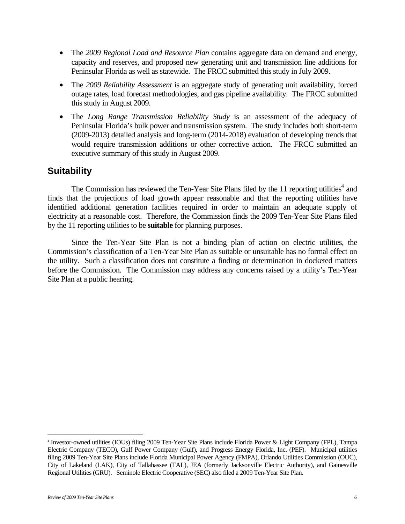- The *2009 Regional Load and Resource Plan* contains aggregate data on demand and energy, capacity and reserves, and proposed new generating unit and transmission line additions for Peninsular Florida as well as statewide. The FRCC submitted this study in July 2009.
- The *2009 Reliability Assessment* is an aggregate study of generating unit availability, forced outage rates, load forecast methodologies, and gas pipeline availability. The FRCC submitted this study in August 2009.
- The *Long Range Transmission Reliability Study* is an assessment of the adequacy of Peninsular Florida's bulk power and transmission system. The study includes both short-term (2009-2013) detailed analysis and long-term (2014-2018) evaluation of developing trends that would require transmission additions or other corrective action. The FRCC submitted an executive summary of this study in August 2009.

## **Suitability**

The Commission has reviewed the Ten-Year Site Plans filed by the 11 reporting utilities<sup>4</sup> and finds that the projections of load growth appear reasonable and that the reporting utilities have identified additional generation facilities required in order to maintain an adequate supply of electricity at a reasonable cost. Therefore, the Commission finds the 2009 Ten-Year Site Plans filed by the 11 reporting utilities to be **suitable** for planning purposes.

Since the Ten-Year Site Plan is not a binding plan of action on electric utilities, the Commission's classification of a Ten-Year Site Plan as suitable or unsuitable has no formal effect on the utility. Such a classification does not constitute a finding or determination in docketed matters before the Commission. The Commission may address any concerns raised by a utility's Ten-Year Site Plan at a public hearing.

 $\overline{a}$ 

<sup>4</sup> Investor-owned utilities (IOUs) filing 2009 Ten-Year Site Plans include Florida Power & Light Company (FPL), Tampa Electric Company (TECO), Gulf Power Company (Gulf), and Progress Energy Florida, Inc. (PEF). Municipal utilities filing 2009 Ten-Year Site Plans include Florida Municipal Power Agency (FMPA), Orlando Utilities Commission (OUC), City of Lakeland (LAK), City of Tallahassee (TAL), JEA (formerly Jacksonville Electric Authority), and Gainesville Regional Utilities (GRU). Seminole Electric Cooperative (SEC) also filed a 2009 Ten-Year Site Plan.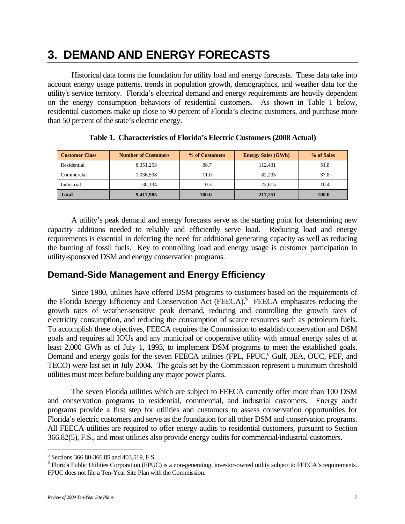## **3. DEMAND AND ENERGY FORECASTS**

Historical data forms the foundation for utility load and energy forecasts. These data take into account energy usage patterns, trends in population growth, demographics, and weather data for the utility's service territory. Florida's electrical demand and energy requirements are heavily dependent on the energy consumption behaviors of residential customers. As shown in Table 1 below, residential customers make up close to 90 percent of Florida's electric customers, and purchase more than 50 percent of the state's electric energy.

| <b>Customer Class</b> | <b>Number of Customers</b> | % of Customers | <b>Energy Sales (GWh)</b> | % of Sales |
|-----------------------|----------------------------|----------------|---------------------------|------------|
| Residential           | 8,351,253                  | 88.7           | 112.431                   | 51.8       |
| Commercial            | 1,036,598                  | 11.0           | 82,205                    | 37.8       |
| Industrial            | 30.134                     | 0.3            | 22.615                    | 10.4       |
| <b>Total</b>          | 9,417,985                  | 100.0          | 217,251                   | 100.0      |

|  |  | Table 1. Characteristics of Florida's Electric Customers (2008 Actual) |  |  |  |  |
|--|--|------------------------------------------------------------------------|--|--|--|--|
|--|--|------------------------------------------------------------------------|--|--|--|--|

A utility's peak demand and energy forecasts serve as the starting point for determining new capacity additions needed to reliably and efficiently serve load. Reducing load and energy requirements is essential in deferring the need for additional generating capacity as well as reducing the burning of fossil fuels. Key to controlling load and energy usage is customer participation in utility-sponsored DSM and energy conservation programs.

## **Demand-Side Management and Energy Efficiency**

Since 1980, utilities have offered DSM programs to customers based on the requirements of the Florida Energy Efficiency and Conservation Act (FEECA).<sup>5</sup> FEECA emphasizes reducing the growth rates of weather-sensitive peak demand, reducing and controlling the growth rates of electricity consumption, and reducing the consumption of scarce resources such as petroleum fuels. To accomplish these objectives, FEECA requires the Commission to establish conservation and DSM goals and requires all IOUs and any municipal or cooperative utility with annual energy sales of at least 2,000 GWh as of July 1, 1993, to implement DSM programs to meet the established goals. Demand and energy goals for the seven FEECA utilities (FPL, FPUC,<sup>6</sup> Gulf, JEA, OUC, PEF, and TECO) were last set in July 2004. The goals set by the Commission represent a minimum threshold utilities must meet before building any major power plants.

The seven Florida utilities which are subject to FEECA currently offer more than 100 DSM and conservation programs to residential, commercial, and industrial customers. Energy audit programs provide a first step for utilities and customers to assess conservation opportunities for Florida's electric customers and serve as the foundation for all other DSM and conservation programs. All FEECA utilities are required to offer energy audits to residential customers, pursuant to Section 366.82(5), F.S., and most utilities also provide energy audits for commercial/industrial customers.

 $\overline{a}$ 

<sup>&</sup>lt;sup>5</sup> Sections 366.80-366.85 and 403.519, F.S.

<sup>&</sup>lt;sup>6</sup> Florida Public Utilities Corporation (FPUC) is a non-generating, investor-owned utility subject to FEECA's requirements. FPUC does not file a Ten-Year Site Plan with the Commission.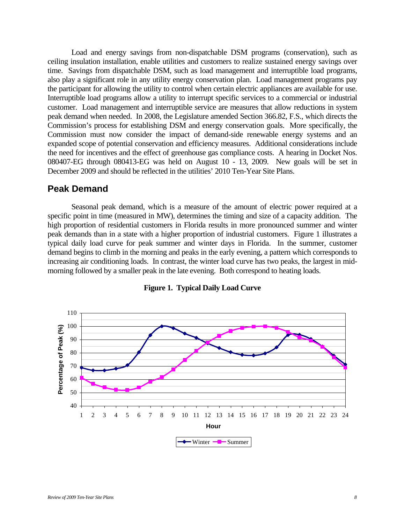Load and energy savings from non-dispatchable DSM programs (conservation), such as ceiling insulation installation, enable utilities and customers to realize sustained energy savings over time. Savings from dispatchable DSM, such as load management and interruptible load programs, also play a significant role in any utility energy conservation plan. Load management programs pay the participant for allowing the utility to control when certain electric appliances are available for use. Interruptible load programs allow a utility to interrupt specific services to a commercial or industrial customer. Load management and interruptible service are measures that allow reductions in system peak demand when needed. In 2008, the Legislature amended Section 366.82, F.S., which directs the Commission's process for establishing DSM and energy conservation goals. More specifically, the Commission must now consider the impact of demand-side renewable energy systems and an expanded scope of potential conservation and efficiency measures. Additional considerations include the need for incentives and the effect of greenhouse gas compliance costs. A hearing in Docket Nos. 080407-EG through 080413-EG was held on August 10 - 13, 2009. New goals will be set in December 2009 and should be reflected in the utilities' 2010 Ten-Year Site Plans.

#### **Peak Demand**

Seasonal peak demand, which is a measure of the amount of electric power required at a specific point in time (measured in MW), determines the timing and size of a capacity addition. The high proportion of residential customers in Florida results in more pronounced summer and winter peak demands than in a state with a higher proportion of industrial customers. Figure 1 illustrates a typical daily load curve for peak summer and winter days in Florida. In the summer, customer demand begins to climb in the morning and peaks in the early evening, a pattern which corresponds to increasing air conditioning loads. In contrast, the winter load curve has two peaks, the largest in midmorning followed by a smaller peak in the late evening. Both correspond to heating loads.



**Figure 1. Typical Daily Load Curve**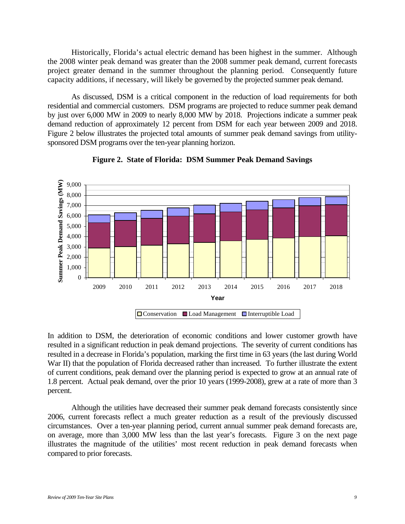Historically, Florida's actual electric demand has been highest in the summer. Although the 2008 winter peak demand was greater than the 2008 summer peak demand, current forecasts project greater demand in the summer throughout the planning period. Consequently future capacity additions, if necessary, will likely be governed by the projected summer peak demand.

As discussed, DSM is a critical component in the reduction of load requirements for both residential and commercial customers. DSM programs are projected to reduce summer peak demand by just over 6,000 MW in 2009 to nearly 8,000 MW by 2018. Projections indicate a summer peak demand reduction of approximately 12 percent from DSM for each year between 2009 and 2018. Figure 2 below illustrates the projected total amounts of summer peak demand savings from utilitysponsored DSM programs over the ten-year planning horizon.



**Figure 2. State of Florida: DSM Summer Peak Demand Savings** 

In addition to DSM, the deterioration of economic conditions and lower customer growth have resulted in a significant reduction in peak demand projections. The severity of current conditions has resulted in a decrease in Florida's population, marking the first time in 63 years (the last during World War II) that the population of Florida decreased rather than increased.To further illustrate the extent of current conditions, peak demand over the planning period is expected to grow at an annual rate of 1.8 percent. Actual peak demand, over the prior 10 years (1999-2008), grew at a rate of more than 3 percent.

Although the utilities have decreased their summer peak demand forecasts consistently since 2006, current forecasts reflect a much greater reduction as a result of the previously discussed circumstances. Over a ten-year planning period, current annual summer peak demand forecasts are, on average, more than 3,000 MW less than the last year's forecasts. Figure 3 on the next page illustrates the magnitude of the utilities' most recent reduction in peak demand forecasts when compared to prior forecasts.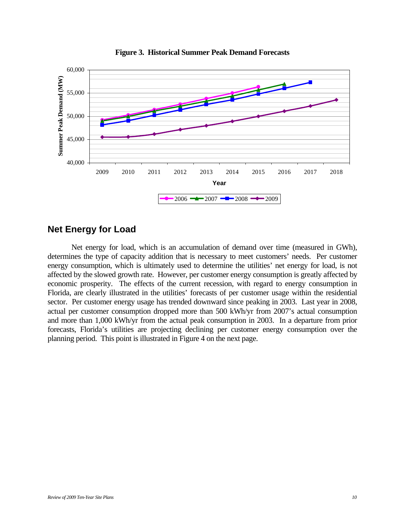



### **Net Energy for Load**

Net energy for load, which is an accumulation of demand over time (measured in GWh), determines the type of capacity addition that is necessary to meet customers' needs. Per customer energy consumption, which is ultimately used to determine the utilities' net energy for load, is not affected by the slowed growth rate. However, per customer energy consumption is greatly affected by economic prosperity. The effects of the current recession, with regard to energy consumption in Florida, are clearly illustrated in the utilities' forecasts of per customer usage within the residential sector. Per customer energy usage has trended downward since peaking in 2003. Last year in 2008, actual per customer consumption dropped more than 500 kWh/yr from 2007's actual consumption and more than 1,000 kWh/yr from the actual peak consumption in 2003. In a departure from prior forecasts, Florida's utilities are projecting declining per customer energy consumption over the planning period. This point is illustrated in Figure 4 on the next page.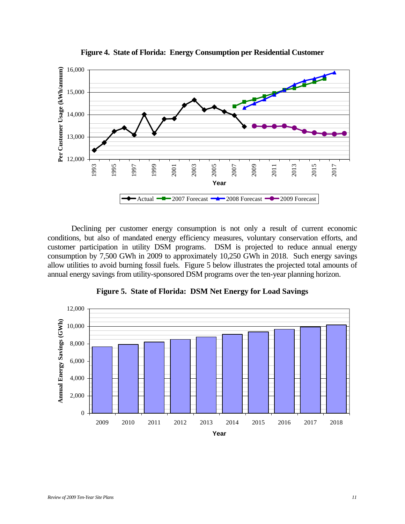

**Figure 4. State of Florida: Energy Consumption per Residential Customer** 

Declining per customer energy consumption is not only a result of current economic conditions, but also of mandated energy efficiency measures, voluntary conservation efforts, and customer participation in utility DSM programs. DSM is projected to reduce annual energy consumption by 7,500 GWh in 2009 to approximately 10,250 GWh in 2018. Such energy savings allow utilities to avoid burning fossil fuels. Figure 5 below illustrates the projected total amounts of annual energy savings from utility-sponsored DSM programs over the ten-year planning horizon.



**Figure 5. State of Florida: DSM Net Energy for Load Savings**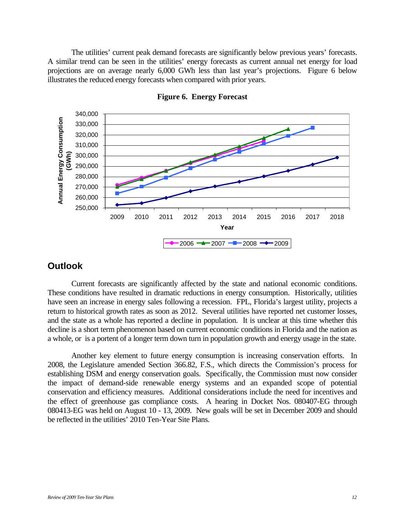The utilities' current peak demand forecasts are significantly below previous years' forecasts. A similar trend can be seen in the utilities' energy forecasts as current annual net energy for load projections are on average nearly 6,000 GWh less than last year's projections. Figure 6 below illustrates the reduced energy forecasts when compared with prior years.



**Figure 6. Energy Forecast** 

#### **Outlook**

Current forecasts are significantly affected by the state and national economic conditions. These conditions have resulted in dramatic reductions in energy consumption. Historically, utilities have seen an increase in energy sales following a recession. FPL, Florida's largest utility, projects a return to historical growth rates as soon as 2012. Several utilities have reported net customer losses, and the state as a whole has reported a decline in population. It is unclear at this time whether this decline is a short term phenomenon based on current economic conditions in Florida and the nation as a whole, or is a portent of a longer term down turn in population growth and energy usage in the state.

Another key element to future energy consumption is increasing conservation efforts. In 2008, the Legislature amended Section 366.82, F.S., which directs the Commission's process for establishing DSM and energy conservation goals. Specifically, the Commission must now consider the impact of demand-side renewable energy systems and an expanded scope of potential conservation and efficiency measures. Additional considerations include the need for incentives and the effect of greenhouse gas compliance costs. A hearing in Docket Nos. 080407-EG through 080413-EG was held on August 10 - 13, 2009. New goals will be set in December 2009 and should be reflected in the utilities' 2010 Ten-Year Site Plans.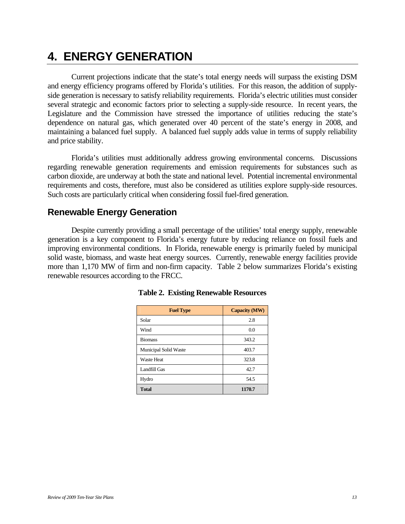## **4. ENERGY GENERATION**

Current projections indicate that the state's total energy needs will surpass the existing DSM and energy efficiency programs offered by Florida's utilities. For this reason, the addition of supplyside generation is necessary to satisfy reliability requirements. Florida's electric utilities must consider several strategic and economic factors prior to selecting a supply-side resource. In recent years, the Legislature and the Commission have stressed the importance of utilities reducing the state's dependence on natural gas, which generated over 40 percent of the state's energy in 2008, and maintaining a balanced fuel supply. A balanced fuel supply adds value in terms of supply reliability and price stability.

Florida's utilities must additionally address growing environmental concerns. Discussions regarding renewable generation requirements and emission requirements for substances such as carbon dioxide, are underway at both the state and national level. Potential incremental environmental requirements and costs, therefore, must also be considered as utilities explore supply-side resources. Such costs are particularly critical when considering fossil fuel-fired generation.

### **Renewable Energy Generation**

Despite currently providing a small percentage of the utilities' total energy supply, renewable generation is a key component to Florida's energy future by reducing reliance on fossil fuels and improving environmental conditions. In Florida, renewable energy is primarily fueled by municipal solid waste, biomass, and waste heat energy sources. Currently, renewable energy facilities provide more than 1,170 MW of firm and non-firm capacity. Table 2 below summarizes Florida's existing renewable resources according to the FRCC.

| <b>Fuel Type</b>      | <b>Capacity (MW)</b> |
|-----------------------|----------------------|
| Solar                 | 2.8                  |
| Wind                  | 0.0                  |
| <b>Biomass</b>        | 343.2                |
| Municipal Solid Waste | 403.7                |
| <b>Waste Heat</b>     | 323.8                |
| Landfill Gas          | 42.7                 |
| Hydro                 | 54.5                 |
| <b>Total</b>          | 1170.7               |

#### **Table 2. Existing Renewable Resources**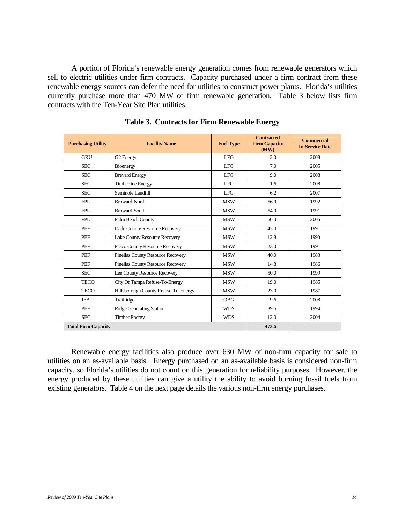A portion of Florida's renewable energy generation comes from renewable generators which sell to electric utilities under firm contracts. Capacity purchased under a firm contract from these renewable energy sources can defer the need for utilities to construct power plants. Florida's utilities currently purchase more than 470 MW of firm renewable generation. Table 3 below lists firm contracts with the Ten-Year Site Plan utilities.

| <b>Purchasing Utility</b>  | <b>Facility Name</b>                 | <b>Fuel Type</b> | <b>Contracted</b><br><b>Firm Capacity</b><br>(MW) | <b>Commercial</b><br><b>In-Service Date</b> |
|----------------------------|--------------------------------------|------------------|---------------------------------------------------|---------------------------------------------|
| <b>GRU</b>                 | G2 Energy                            | <b>LFG</b>       | 3.0                                               | 2008                                        |
| <b>SEC</b>                 | Bioenergy                            | LFG.             | 7.0                                               | 2005                                        |
| <b>SEC</b>                 | <b>Brevard Energy</b>                | <b>LFG</b>       | 9.0                                               | 2008                                        |
| <b>SEC</b>                 | <b>Timberline Energy</b>             | <b>LFG</b>       | 1.6                                               | 2008                                        |
| <b>SEC</b>                 | Seminole Landfill                    | LFG.             | 6.2                                               | 2007                                        |
| <b>FPL</b>                 | <b>Broward-North</b>                 | <b>MSW</b>       | 56.0                                              | 1992                                        |
| <b>FPL</b>                 | <b>Broward-South</b>                 | <b>MSW</b>       | 54.0                                              | 1991                                        |
| <b>FPL</b>                 | Palm Beach County                    | <b>MSW</b>       | 50.0                                              | 2005                                        |
| PEF                        | Dade County Resource Recovery        | <b>MSW</b>       | 43.0                                              | 1991                                        |
| PEF                        | Lake County Resource Recovery        |                  | 12.8                                              | 1990                                        |
| PEF                        | Pasco County Resource Recovery       | <b>MSW</b>       | 23.0                                              | 1991                                        |
| PEF                        | Pinellas County Resource Recovery    | <b>MSW</b>       | 40.0                                              | 1983                                        |
| PEF                        | Pinellas County Resource Recovery    | <b>MSW</b>       | 14.8                                              | 1986                                        |
| <b>SEC</b>                 | Lee County Resource Recovery         | <b>MSW</b>       | 50.0                                              | 1999                                        |
| <b>TECO</b>                | City Of Tampa Refuse-To-Energy       | <b>MSW</b>       | 19.0                                              | 1985                                        |
| <b>TECO</b>                | Hillsborough County Refuse-To-Energy | <b>MSW</b>       | 23.0                                              | 1987                                        |
| <b>JEA</b>                 | Trailridge                           |                  | 9.6                                               | 2008                                        |
| PEF                        | <b>Ridge Generating Station</b>      |                  | 39.6                                              | 1994                                        |
| <b>SEC</b>                 | <b>Timber Energy</b>                 | <b>WDS</b>       | 12.0                                              | 2004                                        |
| <b>Total Firm Capacity</b> |                                      |                  | 473.6                                             |                                             |

**Table 3. Contracts for Firm Renewable Energy** 

Renewable energy facilities also produce over 630 MW of non-firm capacity for sale to utilities on an as-available basis. Energy purchased on an as-available basis is considered non-firm capacity, so Florida's utilities do not count on this generation for reliability purposes. However, the energy produced by these utilities can give a utility the ability to avoid burning fossil fuels from existing generators. Table 4 on the next page details the various non-firm energy purchases.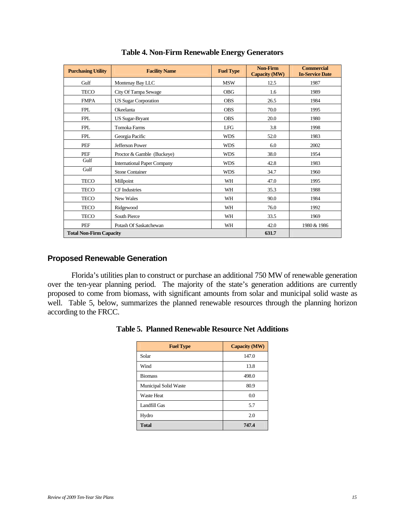| <b>Purchasing Utility</b>      | <b>Facility Name</b>               | <b>Fuel Type</b> | <b>Non-Firm</b><br><b>Capacity (MW)</b> | <b>Commercial</b><br><b>In-Service Date</b> |
|--------------------------------|------------------------------------|------------------|-----------------------------------------|---------------------------------------------|
| Gulf                           | Montenay Bay LLC                   | <b>MSW</b>       | 12.5                                    | 1987                                        |
| <b>TECO</b>                    | City Of Tampa Sewage               | <b>OBG</b>       | 1.6                                     | 1989                                        |
| <b>FMPA</b>                    | <b>US Sugar Corporation</b>        | <b>OBS</b>       | 26.5                                    | 1984                                        |
| <b>FPL</b>                     | Okeelanta                          | <b>OBS</b>       | 70.0                                    | 1995                                        |
| <b>FPL</b>                     | <b>US Sugar-Bryant</b>             | <b>OBS</b>       | 20.0                                    | 1980                                        |
| <b>FPL</b>                     | <b>Tomoka Farms</b>                | LFG              | 3.8                                     | 1998                                        |
| <b>FPL</b>                     | Georgia Pacific                    | <b>WDS</b>       | 52.0                                    | 1983                                        |
| PEF                            | Jefferson Power                    | <b>WDS</b>       | 6.0                                     | 2002                                        |
| PEF                            | Proctor & Gamble (Buckeye)         | <b>WDS</b>       | 38.0                                    | 1954                                        |
| Gulf                           | <b>International Paper Company</b> | <b>WDS</b>       | 42.8                                    | 1983                                        |
| Gulf                           | <b>Stone Container</b>             | <b>WDS</b>       | 34.7                                    | 1960                                        |
| <b>TECO</b>                    | Millpoint                          | WH               | 47.0                                    | 1995                                        |
| <b>TECO</b>                    | <b>CF</b> Industries               | <b>WH</b>        | 35.3                                    | 1988                                        |
| <b>TECO</b>                    | New Wales                          | WH               | 90.0                                    | 1984                                        |
| <b>TECO</b>                    | Ridgewood                          | WH               | 76.0                                    | 1992                                        |
| <b>TECO</b>                    | South Pierce                       | WH               | 33.5                                    | 1969                                        |
| PEF                            | Potash Of Saskatchewan             | WH               | 42.0                                    | 1980 & 1986                                 |
| <b>Total Non-Firm Capacity</b> |                                    |                  | 631.7                                   |                                             |

#### **Table 4. Non-Firm Renewable Energy Generators**

#### **Proposed Renewable Generation**

Florida's utilities plan to construct or purchase an additional 750 MW of renewable generation over the ten-year planning period. The majority of the state's generation additions are currently proposed to come from biomass, with significant amounts from solar and municipal solid waste as well. Table 5, below, summarizes the planned renewable resources through the planning horizon according to the FRCC.

| <b>Fuel Type</b>      | <b>Capacity (MW)</b> |
|-----------------------|----------------------|
| Solar                 | 147.0                |
| Wind                  | 13.8                 |
| <b>Biomass</b>        | 498.0                |
| Municipal Solid Waste | 80.9                 |
| <b>Waste Heat</b>     | 0.0                  |
| Landfill Gas          | 5.7                  |
| Hydro                 | 2.0                  |
| <b>Total</b>          | 747.4                |

|  |  |  |  | Table 5. Planned Renewable Resource Net Additions |
|--|--|--|--|---------------------------------------------------|
|--|--|--|--|---------------------------------------------------|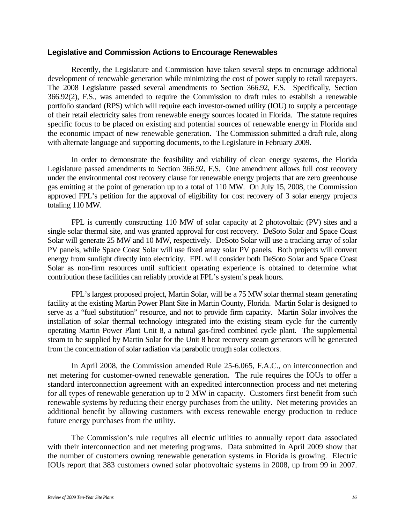#### **Legislative and Commission Actions to Encourage Renewables**

Recently, the Legislature and Commission have taken several steps to encourage additional development of renewable generation while minimizing the cost of power supply to retail ratepayers. The 2008 Legislature passed several amendments to Section 366.92, F.S. Specifically, Section 366.92(2), F.S., was amended to require the Commission to draft rules to establish a renewable portfolio standard (RPS) which will require each investor-owned utility (IOU) to supply a percentage of their retail electricity sales from renewable energy sources located in Florida. The statute requires specific focus to be placed on existing and potential sources of renewable energy in Florida and the economic impact of new renewable generation. The Commission submitted a draft rule, along with alternate language and supporting documents, to the Legislature in February 2009.

In order to demonstrate the feasibility and viability of clean energy systems, the Florida Legislature passed amendments to Section 366.92, F.S. One amendment allows full cost recovery under the environmental cost recovery clause for renewable energy projects that are zero greenhouse gas emitting at the point of generation up to a total of 110 MW. On July 15, 2008, the Commission approved FPL's petition for the approval of eligibility for cost recovery of 3 solar energy projects totaling 110 MW.

 FPL is currently constructing 110 MW of solar capacity at 2 photovoltaic (PV) sites and a single solar thermal site, and was granted approval for cost recovery. DeSoto Solar and Space Coast Solar will generate 25 MW and 10 MW, respectively. DeSoto Solar will use a tracking array of solar PV panels, while Space Coast Solar will use fixed array solar PV panels. Both projects will convert energy from sunlight directly into electricity. FPL will consider both DeSoto Solar and Space Coast Solar as non-firm resources until sufficient operating experience is obtained to determine what contribution these facilities can reliably provide at FPL's system's peak hours.

 FPL's largest proposed project, Martin Solar, will be a 75 MW solar thermal steam generating facility at the existing Martin Power Plant Site in Martin County, Florida. Martin Solar is designed to serve as a "fuel substitution" resource, and not to provide firm capacity. Martin Solar involves the installation of solar thermal technology integrated into the existing steam cycle for the currently operating Martin Power Plant Unit 8, a natural gas-fired combined cycle plant. The supplemental steam to be supplied by Martin Solar for the Unit 8 heat recovery steam generators will be generated from the concentration of solar radiation via parabolic trough solar collectors.

In April 2008, the Commission amended Rule 25-6.065, F.A.C., on interconnection and net metering for customer-owned renewable generation. The rule requires the IOUs to offer a standard interconnection agreement with an expedited interconnection process and net metering for all types of renewable generation up to 2 MW in capacity. Customers first benefit from such renewable systems by reducing their energy purchases from the utility. Net metering provides an additional benefit by allowing customers with excess renewable energy production to reduce future energy purchases from the utility.

The Commission's rule requires all electric utilities to annually report data associated with their interconnection and net metering programs. Data submitted in April 2009 show that the number of customers owning renewable generation systems in Florida is growing. Electric IOUs report that 383 customers owned solar photovoltaic systems in 2008, up from 99 in 2007.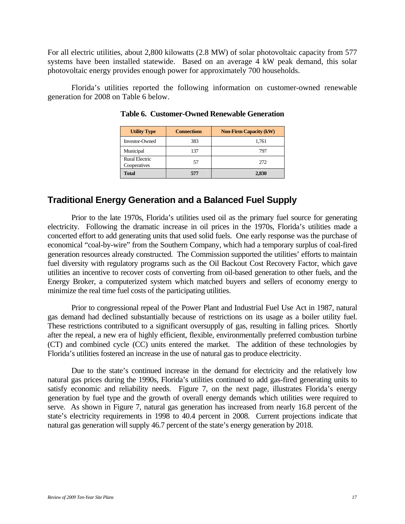For all electric utilities, about 2,800 kilowatts (2.8 MW) of solar photovoltaic capacity from 577 systems have been installed statewide. Based on an average 4 kW peak demand, this solar photovoltaic energy provides enough power for approximately 700 households.

Florida's utilities reported the following information on customer-owned renewable generation for 2008 on Table 6 below.

| <b>Utility Type</b>            | <b>Connections</b> | <b>Non-Firm Capacity (kW)</b> |
|--------------------------------|--------------------|-------------------------------|
| Investor-Owned                 | 383                | 1,761                         |
| Municipal                      | 137                | 797                           |
| Rural Electric<br>Cooperatives | 57                 | 272                           |
| <b>Total</b>                   | 577                | 2,830                         |

**Table 6. Customer-Owned Renewable Generation** 

#### **Traditional Energy Generation and a Balanced Fuel Supply**

Prior to the late 1970s, Florida's utilities used oil as the primary fuel source for generating electricity. Following the dramatic increase in oil prices in the 1970s, Florida's utilities made a concerted effort to add generating units that used solid fuels. One early response was the purchase of economical "coal-by-wire" from the Southern Company, which had a temporary surplus of coal-fired generation resources already constructed. The Commission supported the utilities' efforts to maintain fuel diversity with regulatory programs such as the Oil Backout Cost Recovery Factor, which gave utilities an incentive to recover costs of converting from oil-based generation to other fuels, and the Energy Broker, a computerized system which matched buyers and sellers of economy energy to minimize the real time fuel costs of the participating utilities.

Prior to congressional repeal of the Power Plant and Industrial Fuel Use Act in 1987, natural gas demand had declined substantially because of restrictions on its usage as a boiler utility fuel. These restrictions contributed to a significant oversupply of gas, resulting in falling prices. Shortly after the repeal, a new era of highly efficient, flexible, environmentally preferred combustion turbine (CT) and combined cycle (CC) units entered the market. The addition of these technologies by Florida's utilities fostered an increase in the use of natural gas to produce electricity.

Due to the state's continued increase in the demand for electricity and the relatively low natural gas prices during the 1990s, Florida's utilities continued to add gas-fired generating units to satisfy economic and reliability needs. Figure 7, on the next page, illustrates Florida's energy generation by fuel type and the growth of overall energy demands which utilities were required to serve. As shown in Figure 7, natural gas generation has increased from nearly 16.8 percent of the state's electricity requirements in 1998 to 40.4 percent in 2008. Current projections indicate that natural gas generation will supply 46.7 percent of the state's energy generation by 2018.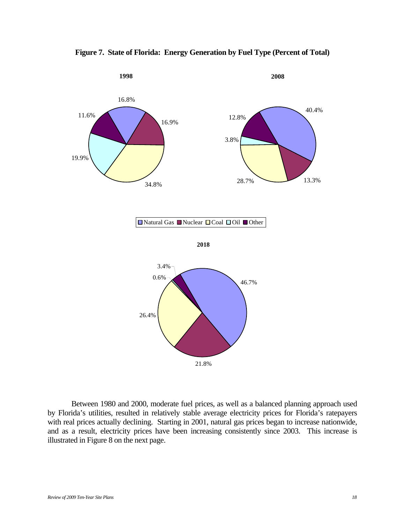

**Figure 7. State of Florida: Energy Generation by Fuel Type (Percent of Total)** 

Between 1980 and 2000, moderate fuel prices, as well as a balanced planning approach used by Florida's utilities, resulted in relatively stable average electricity prices for Florida's ratepayers with real prices actually declining. Starting in 2001, natural gas prices began to increase nationwide, and as a result, electricity prices have been increasing consistently since 2003. This increase is illustrated in Figure 8 on the next page.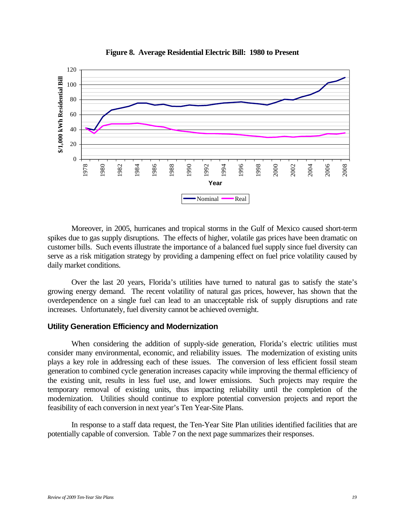

**Figure 8. Average Residential Electric Bill: 1980 to Present** 

Moreover, in 2005, hurricanes and tropical storms in the Gulf of Mexico caused short-term spikes due to gas supply disruptions. The effects of higher, volatile gas prices have been dramatic on customer bills. Such events illustrate the importance of a balanced fuel supply since fuel diversity can serve as a risk mitigation strategy by providing a dampening effect on fuel price volatility caused by daily market conditions.

Over the last 20 years, Florida's utilities have turned to natural gas to satisfy the state's growing energy demand. The recent volatility of natural gas prices, however, has shown that the overdependence on a single fuel can lead to an unacceptable risk of supply disruptions and rate increases. Unfortunately, fuel diversity cannot be achieved overnight.

#### **Utility Generation Efficiency and Modernization**

When considering the addition of supply-side generation, Florida's electric utilities must consider many environmental, economic, and reliability issues. The modernization of existing units plays a key role in addressing each of these issues. The conversion of less efficient fossil steam generation to combined cycle generation increases capacity while improving the thermal efficiency of the existing unit, results in less fuel use, and lower emissions. Such projects may require the temporary removal of existing units, thus impacting reliability until the completion of the modernization. Utilities should continue to explore potential conversion projects and report the feasibility of each conversion in next year's Ten Year-Site Plans.

In response to a staff data request, the Ten-Year Site Plan utilities identified facilities that are potentially capable of conversion. Table 7 on the next page summarizes their responses.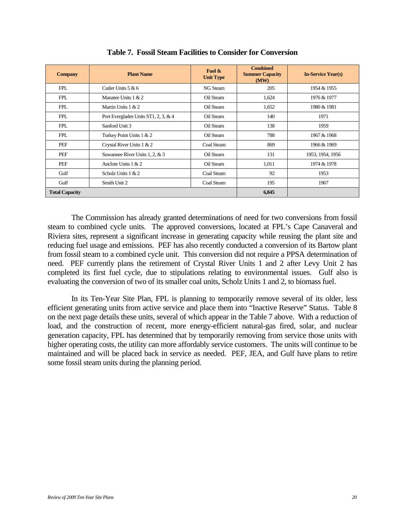| <b>Company</b>        | <b>Plant Name</b>                    | Fuel $\&$<br><b>Unit Type</b> | <b>Combined</b><br><b>Summer Capacity</b><br>(MW) | <b>In-Service Year(s)</b> |
|-----------------------|--------------------------------------|-------------------------------|---------------------------------------------------|---------------------------|
| <b>FPL</b>            | Cutler Units $5 & 6$                 | NG Steam                      | 205                                               | 1954 & 1955               |
| <b>FPL</b>            | Manatee Units $1 & 2$                | Oil Steam                     | 1,624                                             | 1976 & 1977               |
| <b>FPL</b>            | Martin Units $1 & 2$                 | Oil Steam                     | 1,652                                             | 1980 & 1981               |
| <b>FPL</b>            | Port Everglades Units ST1, 2, 3, & 4 | Oil Steam                     | 140                                               | 1971                      |
| <b>FPL</b>            | Sanford Unit 3                       | Oil Steam                     | 138                                               | 1959                      |
| <b>FPL</b>            | Turkey Point Units 1 & 2             | Oil Steam                     | 788                                               | 1967 & 1968               |
| PEF                   | Crystal River Units 1 & 2            | Coal Steam                    | 869                                               | 1966 & 1969               |
| PEF                   | Suwannee River Units 1, 2, & 3       | Oil Steam                     | 131                                               | 1953, 1954, 1956          |
| PEF                   | Anclote Units $1 & 2$                | Oil Steam                     | 1,011                                             | 1974 & 1978               |
| Gulf                  | Scholz Units $1 & 2$                 | Coal Steam                    | 92                                                | 1953                      |
| Gulf                  | Smith Unit 2                         | Coal Steam                    | 195                                               | 1967                      |
| <b>Total Capacity</b> |                                      |                               | 6,845                                             |                           |

**Table 7. Fossil Steam Facilities to Consider for Conversion** 

 The Commission has already granted determinations of need for two conversions from fossil steam to combined cycle units. The approved conversions, located at FPL's Cape Canaveral and Riviera sites, represent a significant increase in generating capacity while reusing the plant site and reducing fuel usage and emissions. PEF has also recently conducted a conversion of its Bartow plant from fossil steam to a combined cycle unit. This conversion did not require a PPSA determination of need. PEF currently plans the retirement of Crystal River Units 1 and 2 after Levy Unit 2 has completed its first fuel cycle, due to stipulations relating to environmental issues. Gulf also is evaluating the conversion of two of its smaller coal units, Scholz Units 1 and 2, to biomass fuel.

 In its Ten-Year Site Plan, FPL is planning to temporarily remove several of its older, less efficient generating units from active service and place them into "Inactive Reserve" Status. Table 8 on the next page details these units, several of which appear in the Table 7 above. With a reduction of load, and the construction of recent, more energy-efficient natural-gas fired, solar, and nuclear generation capacity, FPL has determined that by temporarily removing from service those units with higher operating costs, the utility can more affordably service customers. The units will continue to be maintained and will be placed back in service as needed. PEF, JEA, and Gulf have plans to retire some fossil steam units during the planning period.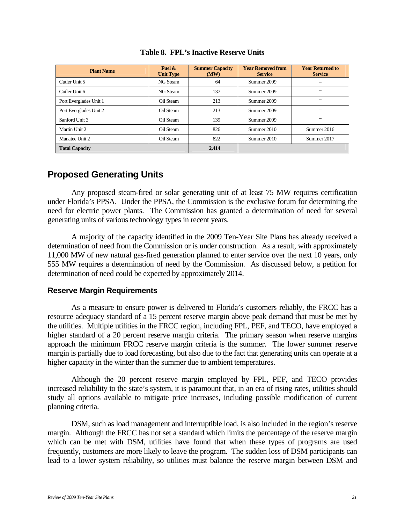| <b>Plant Name</b>      | Fuel $\&$<br><b>Unit Type</b> | <b>Summer Capacity</b><br>(MW) | <b>Year Removed from</b><br><b>Service</b> | <b>Year Returned to</b><br><b>Service</b> |
|------------------------|-------------------------------|--------------------------------|--------------------------------------------|-------------------------------------------|
| Cutler Unit 5          | NG Steam                      | 64                             | Summer 2009                                |                                           |
| Cutler Unit 6          | NG Steam                      | 137                            | Summer 2009                                |                                           |
| Port Everglades Unit 1 | Oil Steam                     | 213                            | Summer 2009                                |                                           |
| Port Everglades Unit 2 | Oil Steam                     | 213                            | Summer 2009                                |                                           |
| Sanford Unit 3         | Oil Steam                     | 139                            | Summer 2009                                |                                           |
| Martin Unit 2          | Oil Steam                     | 826                            | Summer 2010                                | Summer 2016                               |
| Manatee Unit 2         | Oil Steam                     | 822                            | Summer 2010                                | Summer 2017                               |
| <b>Total Capacity</b>  |                               | 2,414                          |                                            |                                           |

#### **Table 8. FPL's Inactive Reserve Units**

## **Proposed Generating Units**

Any proposed steam-fired or solar generating unit of at least 75 MW requires certification under Florida's PPSA. Under the PPSA, the Commission is the exclusive forum for determining the need for electric power plants. The Commission has granted a determination of need for several generating units of various technology types in recent years.

A majority of the capacity identified in the 2009 Ten-Year Site Plans has already received a determination of need from the Commission or is under construction. As a result, with approximately 11,000 MW of new natural gas-fired generation planned to enter service over the next 10 years, only 555 MW requires a determination of need by the Commission. As discussed below, a petition for determination of need could be expected by approximately 2014.

#### **Reserve Margin Requirements**

As a measure to ensure power is delivered to Florida's customers reliably, the FRCC has a resource adequacy standard of a 15 percent reserve margin above peak demand that must be met by the utilities. Multiple utilities in the FRCC region, including FPL, PEF, and TECO, have employed a higher standard of a 20 percent reserve margin criteria. The primary season when reserve margins approach the minimum FRCC reserve margin criteria is the summer. The lower summer reserve margin is partially due to load forecasting, but also due to the fact that generating units can operate at a higher capacity in the winter than the summer due to ambient temperatures.

Although the 20 percent reserve margin employed by FPL, PEF, and TECO provides increased reliability to the state's system, it is paramount that, in an era of rising rates, utilities should study all options available to mitigate price increases, including possible modification of current planning criteria.

DSM, such as load management and interruptible load, is also included in the region's reserve margin. Although the FRCC has not set a standard which limits the percentage of the reserve margin which can be met with DSM, utilities have found that when these types of programs are used frequently, customers are more likely to leave the program. The sudden loss of DSM participants can lead to a lower system reliability, so utilities must balance the reserve margin between DSM and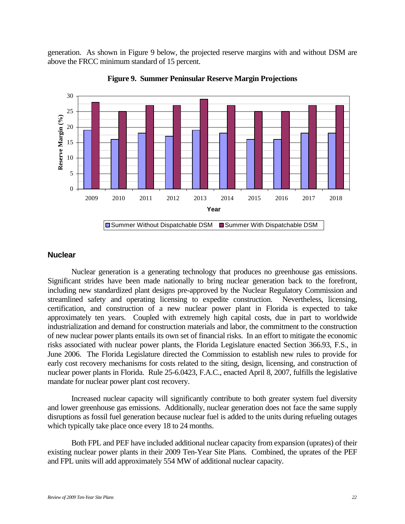generation. As shown in Figure 9 below, the projected reserve margins with and without DSM are above the FRCC minimum standard of 15 percent.





#### **Nuclear**

Nuclear generation is a generating technology that produces no greenhouse gas emissions. Significant strides have been made nationally to bring nuclear generation back to the forefront, including new standardized plant designs pre-approved by the Nuclear Regulatory Commission and streamlined safety and operating licensing to expedite construction. Nevertheless, licensing, certification, and construction of a new nuclear power plant in Florida is expected to take approximately ten years. Coupled with extremely high capital costs, due in part to worldwide industrialization and demand for construction materials and labor, the commitment to the construction of new nuclear power plants entails its own set of financial risks. In an effort to mitigate the economic risks associated with nuclear power plants, the Florida Legislature enacted Section 366.93, F.S., in June 2006. The Florida Legislature directed the Commission to establish new rules to provide for early cost recovery mechanisms for costs related to the siting, design, licensing, and construction of nuclear power plants in Florida. Rule 25-6.0423, F.A.C., enacted April 8, 2007, fulfills the legislative mandate for nuclear power plant cost recovery.

Increased nuclear capacity will significantly contribute to both greater system fuel diversity and lower greenhouse gas emissions. Additionally, nuclear generation does not face the same supply disruptions as fossil fuel generation because nuclear fuel is added to the units during refueling outages which typically take place once every 18 to 24 months.

Both FPL and PEF have included additional nuclear capacity from expansion (uprates) of their existing nuclear power plants in their 2009 Ten-Year Site Plans. Combined, the uprates of the PEF and FPL units will add approximately 554 MW of additional nuclear capacity.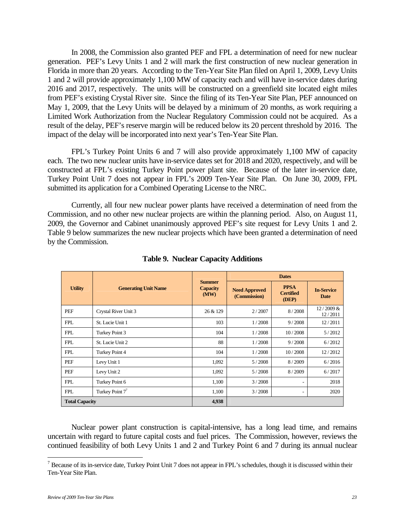In 2008, the Commission also granted PEF and FPL a determination of need for new nuclear generation. PEF's Levy Units 1 and 2 will mark the first construction of new nuclear generation in Florida in more than 20 years. According to the Ten-Year Site Plan filed on April 1, 2009, Levy Units 1 and 2 will provide approximately 1,100 MW of capacity each and will have in-service dates during 2016 and 2017, respectively. The units will be constructed on a greenfield site located eight miles from PEF's existing Crystal River site. Since the filing of its Ten-Year Site Plan, PEF announced on May 1, 2009, that the Levy Units will be delayed by a minimum of 20 months, as work requiring a Limited Work Authorization from the Nuclear Regulatory Commission could not be acquired. As a result of the delay, PEF's reserve margin will be reduced below its 20 percent threshold by 2016. The impact of the delay will be incorporated into next year's Ten-Year Site Plan.

FPL's Turkey Point Units 6 and 7 will also provide approximately 1,100 MW of capacity each. The two new nuclear units have in-service dates set for 2018 and 2020, respectively, and will be constructed at FPL's existing Turkey Point power plant site. Because of the later in-service date, Turkey Point Unit 7 does not appear in FPL's 2009 Ten-Year Site Plan. On June 30, 2009, FPL submitted its application for a Combined Operating License to the NRC.

Currently, all four new nuclear power plants have received a determination of need from the Commission, and no other new nuclear projects are within the planning period. Also, on August 11, 2009, the Governor and Cabinet unanimously approved PEF's site request for Levy Units 1 and 2. Table 9 below summarizes the new nuclear projects which have been granted a determination of need by the Commission.

|                       |                             | <b>Summer</b><br><b>Capacity</b><br>(MW) | <b>Dates</b>                         |                                          |                                  |
|-----------------------|-----------------------------|------------------------------------------|--------------------------------------|------------------------------------------|----------------------------------|
| <b>Utility</b>        | <b>Generating Unit Name</b> |                                          | <b>Need Approved</b><br>(Commission) | <b>PPSA</b><br><b>Certified</b><br>(DEP) | <b>In-Service</b><br><b>Date</b> |
| PEF                   | Crystal River Unit 3        | 26 & 129                                 | 2/2007                               | 8/2008                                   | $12/2009$ &<br>12/2011           |
| <b>FPL</b>            | St. Lucie Unit 1            | 103                                      | 1/2008                               | 9/2008                                   | 12/2011                          |
| <b>FPL</b>            | Turkey Point 3              | 104                                      | 1/2008                               | 10/2008                                  | 5/2012                           |
| <b>FPL</b>            | St. Lucie Unit 2            | 88                                       | 1/2008                               | 9/2008                                   | 6/2012                           |
| <b>FPL</b>            | Turkey Point 4              | 104                                      | 1/2008                               | 10/2008                                  | 12/2012                          |
| PEF                   | Levy Unit 1                 | 1,092                                    | 5/2008                               | 8/2009                                   | 6/2016                           |
| PEF                   | Levy Unit 2                 | 1,092                                    | 5/2008                               | 8/2009                                   | 6/2017                           |
| <b>FPL</b>            | Turkey Point 6              | 1,100                                    | 3/2008                               | $\overline{\phantom{a}}$                 | 2018                             |
| <b>FPL</b>            | Turkey Point $77$           | 1,100                                    | 3/2008                               | ۰.                                       | 2020                             |
| <b>Total Capacity</b> |                             | 4,938                                    |                                      |                                          |                                  |

**Table 9. Nuclear Capacity Additions** 

Nuclear power plant construction is capital-intensive, has a long lead time, and remains uncertain with regard to future capital costs and fuel prices. The Commission, however, reviews the continued feasibility of both Levy Units 1 and 2 and Turkey Point 6 and 7 during its annual nuclear

The authority of its in-service date, Turkey Point Unit 7 does not appear in FPL's schedules, though it is discussed within their  $^7$ Ten-Year Site Plan.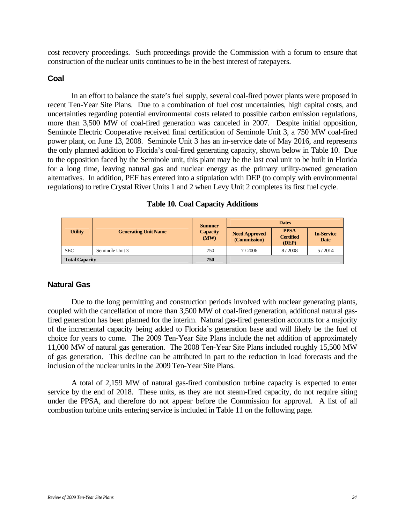cost recovery proceedings. Such proceedings provide the Commission with a forum to ensure that construction of the nuclear units continues to be in the best interest of ratepayers.

#### **Coal**

In an effort to balance the state's fuel supply, several coal-fired power plants were proposed in recent Ten-Year Site Plans. Due to a combination of fuel cost uncertainties, high capital costs, and uncertainties regarding potential environmental costs related to possible carbon emission regulations, more than 3,500 MW of coal-fired generation was canceled in 2007. Despite initial opposition, Seminole Electric Cooperative received final certification of Seminole Unit 3, a 750 MW coal-fired power plant, on June 13, 2008. Seminole Unit 3 has an in-service date of May 2016, and represents the only planned addition to Florida's coal-fired generating capacity, shown below in Table 10. Due to the opposition faced by the Seminole unit, this plant may be the last coal unit to be built in Florida for a long time, leaving natural gas and nuclear energy as the primary utility-owned generation alternatives. In addition, PEF has entered into a stipulation with DEP (to comply with environmental regulations) to retire Crystal River Units 1 and 2 when Levy Unit 2 completes its first fuel cycle.

|  |  |  | <b>Table 10. Coal Capacity Additions</b> |
|--|--|--|------------------------------------------|
|--|--|--|------------------------------------------|

|                       | <b>Summer</b>               | <b>Dates</b>            |                                      |                                          |                                  |
|-----------------------|-----------------------------|-------------------------|--------------------------------------|------------------------------------------|----------------------------------|
| Utility               | <b>Generating Unit Name</b> | <b>Capacity</b><br>(MW) | <b>Need Approved</b><br>(Commission) | <b>PPSA</b><br><b>Certified</b><br>(DEP) | <b>In-Service</b><br><b>Date</b> |
| <b>SEC</b>            | Seminole Unit 3             | 750                     | 7/2006                               | 8/2008                                   | 5/2014                           |
| <b>Total Capacity</b> |                             | 750                     |                                      |                                          |                                  |

#### **Natural Gas**

Due to the long permitting and construction periods involved with nuclear generating plants, coupled with the cancellation of more than 3,500 MW of coal-fired generation, additional natural gasfired generation has been planned for the interim. Natural gas-fired generation accounts for a majority of the incremental capacity being added to Florida's generation base and will likely be the fuel of choice for years to come. The 2009 Ten-Year Site Plans include the net addition of approximately 11,000 MW of natural gas generation. The 2008 Ten-Year Site Plans included roughly 15,500 MW of gas generation. This decline can be attributed in part to the reduction in load forecasts and the inclusion of the nuclear units in the 2009 Ten-Year Site Plans.

A total of 2,159 MW of natural gas-fired combustion turbine capacity is expected to enter service by the end of 2018. These units, as they are not steam-fired capacity, do not require siting under the PPSA, and therefore do not appear before the Commission for approval. A list of all combustion turbine units entering service is included in Table 11 on the following page.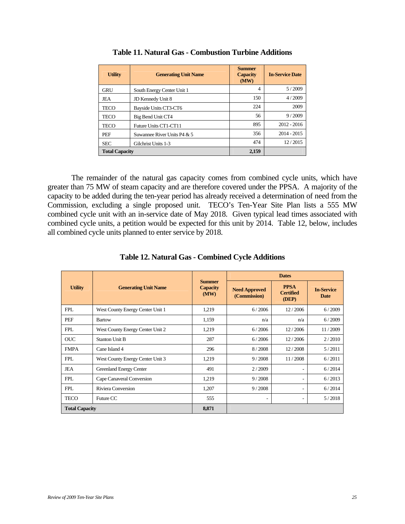| <b>Utility</b>        | <b>Generating Unit Name</b> | <b>Summer</b><br><b>Capacity</b><br>(MW) | <b>In-Service Date</b> |
|-----------------------|-----------------------------|------------------------------------------|------------------------|
| <b>GRU</b>            | South Energy Center Unit 1  | $\overline{4}$                           | 5/2009                 |
| JEA                   | JD Kennedy Unit 8           | 150                                      | 4/2009                 |
| <b>TECO</b>           | Bayside Units CT3-CT6       | 224                                      | 2009                   |
| <b>TECO</b>           | Big Bend Unit CT4           | 56                                       | 9/2009                 |
| <b>TECO</b>           | Future Units CT1-CT11       | 895                                      | $2012 - 2016$          |
| PEF                   | Suwannee River Units P4 & 5 | 356                                      | $2014 - 2015$          |
| <b>SEC</b>            | Gilchrist Units 1-3         | 474                                      | 12/2015                |
| <b>Total Capacity</b> |                             | 2,159                                    |                        |

| <b>Table 11. Natural Gas - Combustion Turbine Additions</b> |
|-------------------------------------------------------------|
|-------------------------------------------------------------|

The remainder of the natural gas capacity comes from combined cycle units, which have greater than 75 MW of steam capacity and are therefore covered under the PPSA. A majority of the capacity to be added during the ten-year period has already received a determination of need from the Commission, excluding a single proposed unit. TECO's Ten-Year Site Plan lists a 555 MW combined cycle unit with an in-service date of May 2018. Given typical lead times associated with combined cycle units, a petition would be expected for this unit by 2014. Table 12, below, includes all combined cycle units planned to enter service by 2018.

|                                               |                                          |                                      | <b>Dates</b>                             |                                  |         |
|-----------------------------------------------|------------------------------------------|--------------------------------------|------------------------------------------|----------------------------------|---------|
| <b>Utility</b><br><b>Generating Unit Name</b> | <b>Summer</b><br><b>Capacity</b><br>(MW) | <b>Need Approved</b><br>(Commission) | <b>PPSA</b><br><b>Certified</b><br>(DEP) | <b>In-Service</b><br><b>Date</b> |         |
| <b>FPL</b>                                    | West County Energy Center Unit 1         | 1,219                                | 6/2006                                   | 12/2006                          | 6/2009  |
| PEF                                           | <b>Bartow</b>                            | 1,159                                | n/a                                      | n/a                              | 6/2009  |
| <b>FPL</b>                                    | West County Energy Center Unit 2         | 1,219                                | 6/2006                                   | 12/2006                          | 11/2009 |
| <b>OUC</b>                                    | <b>Stanton Unit B</b>                    | 287                                  | 6/2006                                   | 12/2006                          | 2/2010  |
| <b>FMPA</b>                                   | Cane Island 4                            | 296                                  | 8/2008                                   | 12/2008                          | 5/2011  |
| <b>FPL</b>                                    | West County Energy Center Unit 3         | 1,219                                | 9/2008                                   | 11/2008                          | 6/2011  |
| JEA                                           | Greenland Energy Center                  | 491                                  | 2/2009                                   |                                  | 6/2014  |
| <b>FPL</b>                                    | Cape Canaveral Conversion                | 1,219                                | 9/2008                                   | ۰                                | 6/2013  |
| <b>FPL</b>                                    | Riviera Conversion                       | 1,207                                | 9/2008                                   | ٠                                | 6/2014  |
| <b>TECO</b>                                   | Future CC                                | 555                                  | $\overline{\phantom{a}}$                 | $\overline{\phantom{0}}$         | 5/2018  |
| <b>Total Capacity</b>                         |                                          | 8,871                                |                                          |                                  |         |

**Table 12. Natural Gas - Combined Cycle Additions**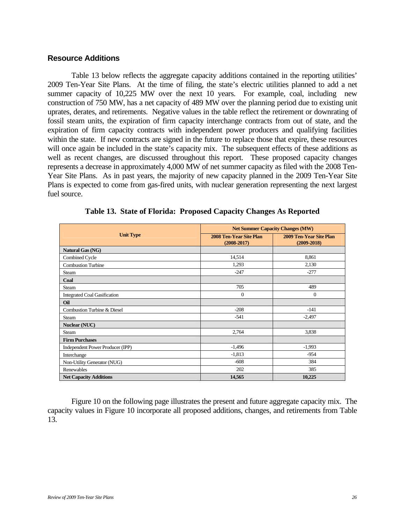#### **Resource Additions**

Table 13 below reflects the aggregate capacity additions contained in the reporting utilities' 2009 Ten-Year Site Plans. At the time of filing, the state's electric utilities planned to add a net summer capacity of 10,225 MW over the next 10 years. For example, coal, including new construction of 750 MW, has a net capacity of 489 MW over the planning period due to existing unit uprates, derates, and retirements. Negative values in the table reflect the retirement or downrating of fossil steam units, the expiration of firm capacity interchange contracts from out of state, and the expiration of firm capacity contracts with independent power producers and qualifying facilities within the state. If new contracts are signed in the future to replace those that expire, these resources will once again be included in the state's capacity mix. The subsequent effects of these additions as well as recent changes, are discussed throughout this report. These proposed capacity changes represents a decrease in approximately 4,000 MW of net summer capacity as filed with the 2008 Ten-Year Site Plans. As in past years, the majority of new capacity planned in the 2009 Ten-Year Site Plans is expected to come from gas-fired units, with nuclear generation representing the next largest fuel source.

|                                     | <b>Net Summer Capacity Changes (MW)</b>    |                                            |  |
|-------------------------------------|--------------------------------------------|--------------------------------------------|--|
| <b>Unit Type</b>                    | 2008 Ten-Year Site Plan<br>$(2008 - 2017)$ | 2009 Ten-Year Site Plan<br>$(2009 - 2018)$ |  |
| Natural Gas (NG)                    |                                            |                                            |  |
| Combined Cycle                      | 14,514                                     | 8,861                                      |  |
| <b>Combustion Turbine</b>           | 1,293                                      | 2,130                                      |  |
| Steam                               | $-247$                                     | $-277$                                     |  |
| Coal                                |                                            |                                            |  |
| <b>Steam</b>                        | 705                                        | 489                                        |  |
| <b>Integrated Coal Gasification</b> | $\mathbf{0}$                               | $\Omega$                                   |  |
| Oil                                 |                                            |                                            |  |
| Combustion Turbine & Diesel         | $-208$                                     | $-141$                                     |  |
| <b>Steam</b>                        | $-541$                                     | $-2,497$                                   |  |
| Nuclear (NUC)                       |                                            |                                            |  |
| <b>Steam</b>                        | 2,764                                      | 3,838                                      |  |
| <b>Firm Purchases</b>               |                                            |                                            |  |
| Independent Power Producer (IPP)    | $-1,496$                                   | $-1,993$                                   |  |
| Interchange                         | $-1,813$                                   | $-954$                                     |  |
| Non-Utility Generator (NUG)         | $-608$                                     | 384                                        |  |
| Renewables                          | 202                                        | 385                                        |  |
| <b>Net Capacity Additions</b>       | 14,565                                     | 10,225                                     |  |

**Table 13. State of Florida: Proposed Capacity Changes As Reported** 

Figure 10 on the following page illustrates the present and future aggregate capacity mix. The capacity values in Figure 10 incorporate all proposed additions, changes, and retirements from Table 13.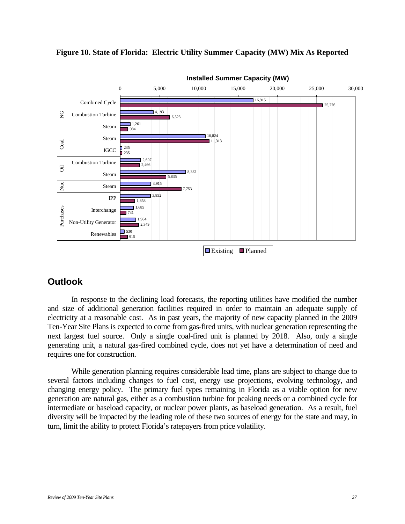

#### **Figure 10. State of Florida: Electric Utility Summer Capacity (MW) Mix As Reported**

## **Outlook**

In response to the declining load forecasts, the reporting utilities have modified the number and size of additional generation facilities required in order to maintain an adequate supply of electricity at a reasonable cost. As in past years, the majority of new capacity planned in the 2009 Ten-Year Site Plans is expected to come from gas-fired units, with nuclear generation representing the next largest fuel source. Only a single coal-fired unit is planned by 2018. Also, only a single generating unit, a natural gas-fired combined cycle, does not yet have a determination of need and requires one for construction.

While generation planning requires considerable lead time, plans are subject to change due to several factors including changes to fuel cost, energy use projections, evolving technology, and changing energy policy. The primary fuel types remaining in Florida as a viable option for new generation are natural gas, either as a combustion turbine for peaking needs or a combined cycle for intermediate or baseload capacity, or nuclear power plants, as baseload generation. As a result, fuel diversity will be impacted by the leading role of these two sources of energy for the state and may, in turn, limit the ability to protect Florida's ratepayers from price volatility.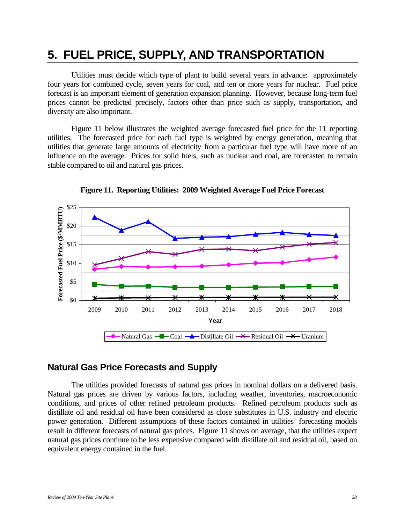## **5. FUEL PRICE, SUPPLY, AND TRANSPORTATION**

Utilities must decide which type of plant to build several years in advance: approximately four years for combined cycle, seven years for coal, and ten or more years for nuclear. Fuel price forecast is an important element of generation expansion planning. However, because long-term fuel prices cannot be predicted precisely, factors other than price such as supply, transportation, and diversity are also important.

Figure 11 below illustrates the weighted average forecasted fuel price for the 11 reporting utilities. The forecasted price for each fuel type is weighted by energy generation, meaning that utilities that generate large amounts of electricity from a particular fuel type will have more of an influence on the average. Prices for solid fuels, such as nuclear and coal, are forecasted to remain stable compared to oil and natural gas prices.



**Figure 11. Reporting Utilities: 2009 Weighted Average Fuel Price Forecast** 

#### **Natural Gas Price Forecasts and Supply**

The utilities provided forecasts of natural gas prices in nominal dollars on a delivered basis. Natural gas prices are driven by various factors, including weather, inventories, macroeconomic conditions, and prices of other refined petroleum products. Refined petroleum products such as distillate oil and residual oil have been considered as close substitutes in U.S. industry and electric power generation. Different assumptions of these factors contained in utilities' forecasting models result in different forecasts of natural gas prices. Figure 11 shows on average, that the utilities expect natural gas prices continue to be less expensive compared with distillate oil and residual oil, based on equivalent energy contained in the fuel.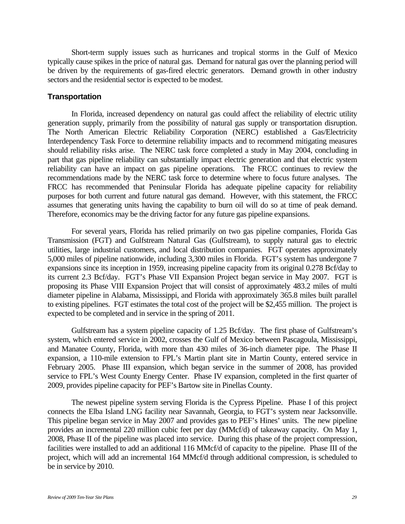Short-term supply issues such as hurricanes and tropical storms in the Gulf of Mexico typically cause spikes in the price of natural gas. Demand for natural gas over the planning period will be driven by the requirements of gas-fired electric generators. Demand growth in other industry sectors and the residential sector is expected to be modest.

#### **Transportation**

In Florida, increased dependency on natural gas could affect the reliability of electric utility generation supply, primarily from the possibility of natural gas supply or transportation disruption. The North American Electric Reliability Corporation (NERC) established a Gas/Electricity Interdependency Task Force to determine reliability impacts and to recommend mitigating measures should reliability risks arise. The NERC task force completed a study in May 2004, concluding in part that gas pipeline reliability can substantially impact electric generation and that electric system reliability can have an impact on gas pipeline operations. The FRCC continues to review the recommendations made by the NERC task force to determine where to focus future analyses. The FRCC has recommended that Peninsular Florida has adequate pipeline capacity for reliability purposes for both current and future natural gas demand. However, with this statement, the FRCC assumes that generating units having the capability to burn oil will do so at time of peak demand. Therefore, economics may be the driving factor for any future gas pipeline expansions.

For several years, Florida has relied primarily on two gas pipeline companies, Florida Gas Transmission (FGT) and Gulfstream Natural Gas (Gulfstream), to supply natural gas to electric utilities, large industrial customers, and local distribution companies. FGT operates approximately 5,000 miles of pipeline nationwide, including 3,300 miles in Florida. FGT's system has undergone 7 expansions since its inception in 1959, increasing pipeline capacity from its original 0.278 Bcf/day to its current 2.3 Bcf/day. FGT's Phase VII Expansion Project began service in May 2007. FGT is proposing its Phase VIII Expansion Project that will consist of approximately 483.2 miles of multi diameter pipeline in Alabama, Mississippi, and Florida with approximately 365.8 miles built parallel to existing pipelines. FGT estimates the total cost of the project will be \$2,455 million. The project is expected to be completed and in service in the spring of 2011.

Gulfstream has a system pipeline capacity of 1.25 Bcf/day. The first phase of Gulfstream's system, which entered service in 2002, crosses the Gulf of Mexico between Pascagoula, Mississippi, and Manatee County, Florida, with more than 430 miles of 36-inch diameter pipe. The Phase II expansion, a 110-mile extension to FPL's Martin plant site in Martin County, entered service in February 2005. Phase III expansion, which began service in the summer of 2008, has provided service to FPL's West County Energy Center. Phase IV expansion, completed in the first quarter of 2009, provides pipeline capacity for PEF's Bartow site in Pinellas County.

The newest pipeline system serving Florida is the Cypress Pipeline. Phase I of this project connects the Elba Island LNG facility near Savannah, Georgia, to FGT's system near Jacksonville. This pipeline began service in May 2007 and provides gas to PEF's Hines' units. The new pipeline provides an incremental 220 million cubic feet per day (MMcf/d) of takeaway capacity. On May 1, 2008, Phase II of the pipeline was placed into service. During this phase of the project compression, facilities were installed to add an additional 116 MMcf/d of capacity to the pipeline. Phase III of the project, which will add an incremental 164 MMcf/d through additional compression, is scheduled to be in service by 2010.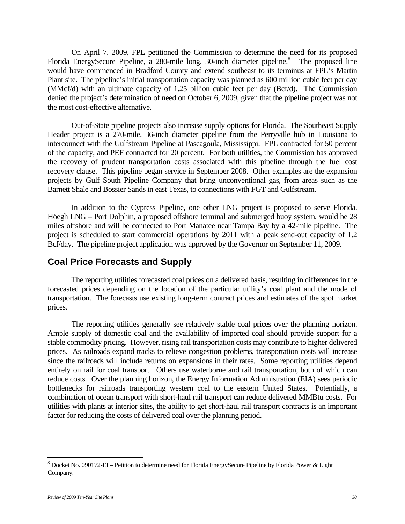On April 7, 2009, FPL petitioned the Commission to determine the need for its proposed Florida EnergySecure Pipeline, a 280-mile long, 30-inch diameter pipeline.<sup>8</sup> The proposed line would have commenced in Bradford County and extend southeast to its terminus at FPL's Martin Plant site. The pipeline's initial transportation capacity was planned as 600 million cubic feet per day (MMcf/d) with an ultimate capacity of 1.25 billion cubic feet per day (Bcf/d). The Commission denied the project's determination of need on October 6, 2009, given that the pipeline project was not the most cost-effective alternative.

Out-of-State pipeline projects also increase supply options for Florida. The Southeast Supply Header project is a 270-mile, 36-inch diameter pipeline from the Perryville hub in Louisiana to interconnect with the Gulfstream Pipeline at Pascagoula, Mississippi. FPL contracted for 50 percent of the capacity, and PEF contracted for 20 percent. For both utilities, the Commission has approved the recovery of prudent transportation costs associated with this pipeline through the fuel cost recovery clause. This pipeline began service in September 2008. Other examples are the expansion projects by Gulf South Pipeline Company that bring unconventional gas, from areas such as the Barnett Shale and Bossier Sands in east Texas, to connections with FGT and Gulfstream.

In addition to the Cypress Pipeline, one other LNG project is proposed to serve Florida. Höegh LNG – Port Dolphin, a proposed offshore terminal and submerged buoy system, would be 28 miles offshore and will be connected to Port Manatee near Tampa Bay by a 42-mile pipeline. The project is scheduled to start commercial operations by 2011 with a peak send-out capacity of 1.2 Bcf/day. The pipeline project application was approved by the Governor on September 11, 2009.

#### **Coal Price Forecasts and Supply**

The reporting utilities forecasted coal prices on a delivered basis, resulting in differences in the forecasted prices depending on the location of the particular utility's coal plant and the mode of transportation. The forecasts use existing long-term contract prices and estimates of the spot market prices.

The reporting utilities generally see relatively stable coal prices over the planning horizon. Ample supply of domestic coal and the availability of imported coal should provide support for a stable commodity pricing. However, rising rail transportation costs may contribute to higher delivered prices. As railroads expand tracks to relieve congestion problems, transportation costs will increase since the railroads will include returns on expansions in their rates. Some reporting utilities depend entirely on rail for coal transport. Others use waterborne and rail transportation, both of which can reduce costs. Over the planning horizon, the Energy Information Administration (EIA) sees periodic bottlenecks for railroads transporting western coal to the eastern United States. Potentially, a combination of ocean transport with short-haul rail transport can reduce delivered MMBtu costs. For utilities with plants at interior sites, the ability to get short-haul rail transport contracts is an important factor for reducing the costs of delivered coal over the planning period.

 $\overline{a}$ 

 $8$  Docket No. 090172-EI – Petition to determine need for Florida EnergySecure Pipeline by Florida Power & Light Company.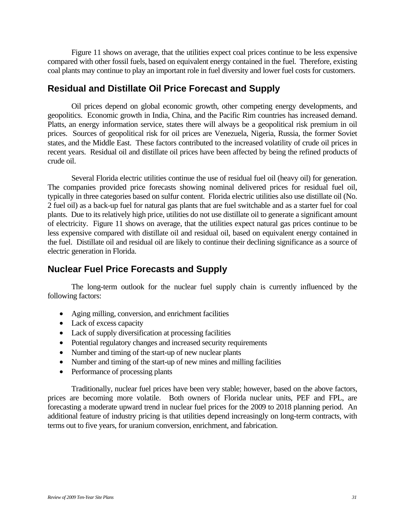Figure 11 shows on average, that the utilities expect coal prices continue to be less expensive compared with other fossil fuels, based on equivalent energy contained in the fuel. Therefore, existing coal plants may continue to play an important role in fuel diversity and lower fuel costs for customers.

### **Residual and Distillate Oil Price Forecast and Supply**

Oil prices depend on global economic growth, other competing energy developments, and geopolitics. Economic growth in India, China, and the Pacific Rim countries has increased demand. Platts, an energy information service, states there will always be a geopolitical risk premium in oil prices. Sources of geopolitical risk for oil prices are Venezuela, Nigeria, Russia, the former Soviet states, and the Middle East. These factors contributed to the increased volatility of crude oil prices in recent years. Residual oil and distillate oil prices have been affected by being the refined products of crude oil.

Several Florida electric utilities continue the use of residual fuel oil (heavy oil) for generation. The companies provided price forecasts showing nominal delivered prices for residual fuel oil, typically in three categories based on sulfur content. Florida electric utilities also use distillate oil (No. 2 fuel oil) as a back-up fuel for natural gas plants that are fuel switchable and as a starter fuel for coal plants. Due to its relatively high price, utilities do not use distillate oil to generate a significant amount of electricity. Figure 11 shows on average, that the utilities expect natural gas prices continue to be less expensive compared with distillate oil and residual oil, based on equivalent energy contained in the fuel. Distillate oil and residual oil are likely to continue their declining significance as a source of electric generation in Florida.

## **Nuclear Fuel Price Forecasts and Supply**

The long-term outlook for the nuclear fuel supply chain is currently influenced by the following factors:

- Aging milling, conversion, and enrichment facilities
- Lack of excess capacity
- Lack of supply diversification at processing facilities
- Potential regulatory changes and increased security requirements
- Number and timing of the start-up of new nuclear plants
- Number and timing of the start-up of new mines and milling facilities
- Performance of processing plants

Traditionally, nuclear fuel prices have been very stable; however, based on the above factors, prices are becoming more volatile. Both owners of Florida nuclear units, PEF and FPL, are forecasting a moderate upward trend in nuclear fuel prices for the 2009 to 2018 planning period. An additional feature of industry pricing is that utilities depend increasingly on long-term contracts, with terms out to five years, for uranium conversion, enrichment, and fabrication.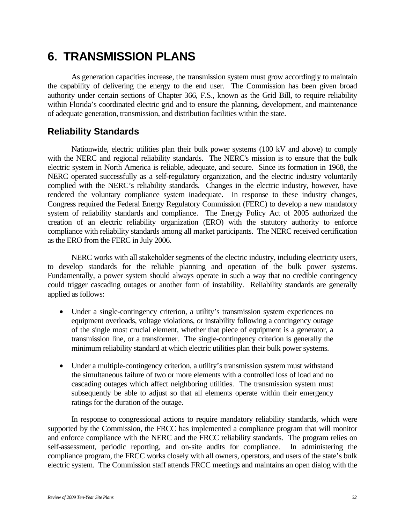## **6. TRANSMISSION PLANS**

As generation capacities increase, the transmission system must grow accordingly to maintain the capability of delivering the energy to the end user. The Commission has been given broad authority under certain sections of Chapter 366, F.S., known as the Grid Bill, to require reliability within Florida's coordinated electric grid and to ensure the planning, development, and maintenance of adequate generation, transmission, and distribution facilities within the state.

### **Reliability Standards**

Nationwide, electric utilities plan their bulk power systems (100 kV and above) to comply with the NERC and regional reliability standards. The NERC's mission is to ensure that the bulk electric system in North America is reliable, adequate, and secure. Since its formation in 1968, the NERC operated successfully as a self-regulatory organization, and the electric industry voluntarily complied with the NERC's reliability standards. Changes in the electric industry, however, have rendered the voluntary compliance system inadequate. In response to these industry changes, Congress required the Federal Energy Regulatory Commission (FERC) to develop a new mandatory system of reliability standards and compliance. The Energy Policy Act of 2005 authorized the creation of an electric reliability organization (ERO) with the statutory authority to enforce compliance with reliability standards among all market participants. The NERC received certification as the ERO from the FERC in July 2006.

NERC works with all stakeholder segments of the electric industry, including electricity users, to develop standards for the reliable planning and operation of the bulk power systems. Fundamentally, a power system should always operate in such a way that no credible contingency could trigger cascading outages or another form of instability. Reliability standards are generally applied as follows:

- Under a single-contingency criterion, a utility's transmission system experiences no equipment overloads, voltage violations, or instability following a contingency outage of the single most crucial element, whether that piece of equipment is a generator, a transmission line, or a transformer. The single-contingency criterion is generally the minimum reliability standard at which electric utilities plan their bulk power systems.
- Under a multiple-contingency criterion, a utility's transmission system must withstand the simultaneous failure of two or more elements with a controlled loss of load and no cascading outages which affect neighboring utilities. The transmission system must subsequently be able to adjust so that all elements operate within their emergency ratings for the duration of the outage.

In response to congressional actions to require mandatory reliability standards, which were supported by the Commission, the FRCC has implemented a compliance program that will monitor and enforce compliance with the NERC and the FRCC reliability standards. The program relies on self-assessment, periodic reporting, and on-site audits for compliance. In administering the compliance program, the FRCC works closely with all owners, operators, and users of the state's bulk electric system. The Commission staff attends FRCC meetings and maintains an open dialog with the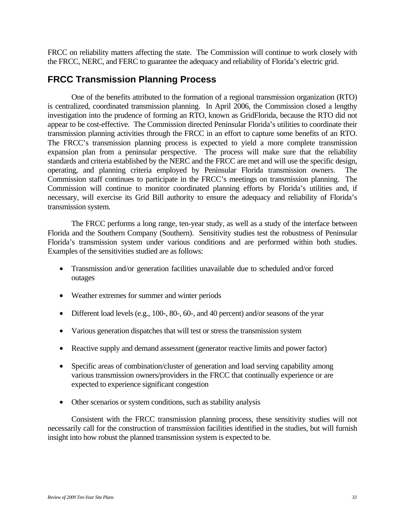FRCC on reliability matters affecting the state. The Commission will continue to work closely with the FRCC, NERC, and FERC to guarantee the adequacy and reliability of Florida's electric grid.

### **FRCC Transmission Planning Process**

One of the benefits attributed to the formation of a regional transmission organization (RTO) is centralized, coordinated transmission planning. In April 2006, the Commission closed a lengthy investigation into the prudence of forming an RTO, known as GridFlorida, because the RTO did not appear to be cost-effective. The Commission directed Peninsular Florida's utilities to coordinate their transmission planning activities through the FRCC in an effort to capture some benefits of an RTO. The FRCC's transmission planning process is expected to yield a more complete transmission expansion plan from a peninsular perspective. The process will make sure that the reliability standards and criteria established by the NERC and the FRCC are met and will use the specific design, operating, and planning criteria employed by Peninsular Florida transmission owners. The Commission staff continues to participate in the FRCC's meetings on transmission planning. The Commission will continue to monitor coordinated planning efforts by Florida's utilities and, if necessary, will exercise its Grid Bill authority to ensure the adequacy and reliability of Florida's transmission system.

The FRCC performs a long range, ten-year study, as well as a study of the interface between Florida and the Southern Company (Southern). Sensitivity studies test the robustness of Peninsular Florida's transmission system under various conditions and are performed within both studies. Examples of the sensitivities studied are as follows:

- Transmission and/or generation facilities unavailable due to scheduled and/or forced outages
- Weather extremes for summer and winter periods
- Different load levels (e.g., 100-, 80-, 60-, and 40 percent) and/or seasons of the year
- Various generation dispatches that will test or stress the transmission system
- Reactive supply and demand assessment (generator reactive limits and power factor)
- Specific areas of combination/cluster of generation and load serving capability among various transmission owners/providers in the FRCC that continually experience or are expected to experience significant congestion
- Other scenarios or system conditions, such as stability analysis

Consistent with the FRCC transmission planning process, these sensitivity studies will not necessarily call for the construction of transmission facilities identified in the studies, but will furnish insight into how robust the planned transmission system is expected to be.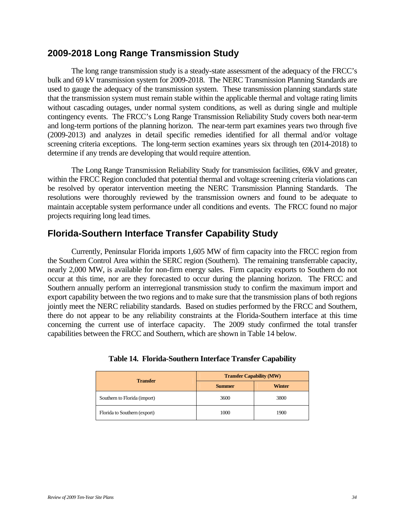### **2009-2018 Long Range Transmission Study**

The long range transmission study is a steady-state assessment of the adequacy of the FRCC's bulk and 69 kV transmission system for 2009-2018. The NERC Transmission Planning Standards are used to gauge the adequacy of the transmission system. These transmission planning standards state that the transmission system must remain stable within the applicable thermal and voltage rating limits without cascading outages, under normal system conditions, as well as during single and multiple contingency events. The FRCC's Long Range Transmission Reliability Study covers both near-term and long-term portions of the planning horizon. The near-term part examines years two through five (2009-2013) and analyzes in detail specific remedies identified for all thermal and/or voltage screening criteria exceptions. The long-term section examines years six through ten (2014-2018) to determine if any trends are developing that would require attention.

The Long Range Transmission Reliability Study for transmission facilities, 69kV and greater, within the FRCC Region concluded that potential thermal and voltage screening criteria violations can be resolved by operator intervention meeting the NERC Transmission Planning Standards. The resolutions were thoroughly reviewed by the transmission owners and found to be adequate to maintain acceptable system performance under all conditions and events. The FRCC found no major projects requiring long lead times.

## **Florida-Southern Interface Transfer Capability Study**

Currently, Peninsular Florida imports 1,605 MW of firm capacity into the FRCC region from the Southern Control Area within the SERC region (Southern). The remaining transferrable capacity, nearly 2,000 MW, is available for non-firm energy sales. Firm capacity exports to Southern do not occur at this time, nor are they forecasted to occur during the planning horizon. The FRCC and Southern annually perform an interregional transmission study to confirm the maximum import and export capability between the two regions and to make sure that the transmission plans of both regions jointly meet the NERC reliability standards. Based on studies performed by the FRCC and Southern, there do not appear to be any reliability constraints at the Florida-Southern interface at this time concerning the current use of interface capacity. The 2009 study confirmed the total transfer capabilities between the FRCC and Southern, which are shown in Table 14 below.

| <b>Transfer</b>              | <b>Transfer Capability (MW)</b> |               |  |
|------------------------------|---------------------------------|---------------|--|
|                              | <b>Summer</b>                   | <b>Winter</b> |  |
| Southern to Florida (import) | 3600                            | 3800          |  |
| Florida to Southern (export) | 1000                            | 1900          |  |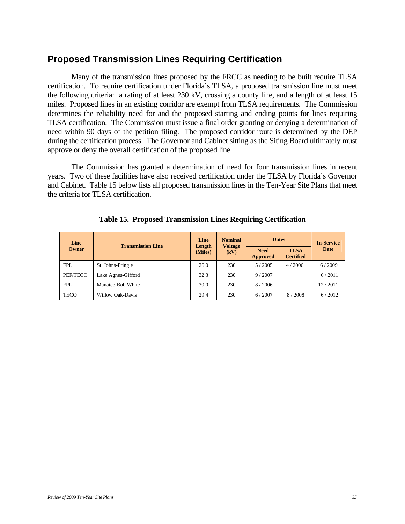## **Proposed Transmission Lines Requiring Certification**

Many of the transmission lines proposed by the FRCC as needing to be built require TLSA certification. To require certification under Florida's TLSA, a proposed transmission line must meet the following criteria: a rating of at least 230 kV, crossing a county line, and a length of at least 15 miles. Proposed lines in an existing corridor are exempt from TLSA requirements. The Commission determines the reliability need for and the proposed starting and ending points for lines requiring TLSA certification. The Commission must issue a final order granting or denying a determination of need within 90 days of the petition filing. The proposed corridor route is determined by the DEP during the certification process. The Governor and Cabinet sitting as the Siting Board ultimately must approve or deny the overall certification of the proposed line.

The Commission has granted a determination of need for four transmission lines in recent years. Two of these facilities have also received certification under the TLSA by Florida's Governor and Cabinet. Table 15 below lists all proposed transmission lines in the Ten-Year Site Plans that meet the criteria for TLSA certification.

| Line<br>Owner | <b>Transmission Line</b> | Line<br>Length<br>(Miles) | <b>Nominal</b><br><b>Voltage</b><br>(kV) | <b>Dates</b>            |                                 | <b>In-Service</b> |
|---------------|--------------------------|---------------------------|------------------------------------------|-------------------------|---------------------------------|-------------------|
|               |                          |                           |                                          | <b>Need</b><br>Approved | <b>TLSA</b><br><b>Certified</b> | Date              |
| <b>FPL</b>    | St. Johns-Pringle        | 26.0                      | 230                                      | 5/2005                  | 4/2006                          | 6/2009            |
| PEF/TECO      | Lake Agnes-Gifford       | 32.3                      | 230                                      | 9/2007                  |                                 | 6/2011            |
| <b>FPL</b>    | Manatee-Bob White        | 30.0                      | 230                                      | 8/2006                  |                                 | 12/2011           |
| <b>TECO</b>   | Willow Oak-Davis         | 29.4                      | 230                                      | 6/2007                  | 8/2008                          | 6/2012            |

**Table 15. Proposed Transmission Lines Requiring Certification**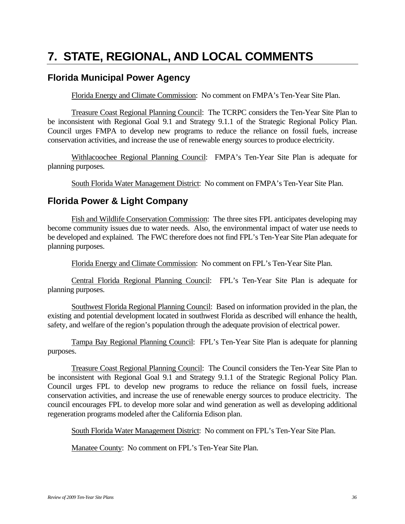## **7. STATE, REGIONAL, AND LOCAL COMMENTS**

## **Florida Municipal Power Agency**

Florida Energy and Climate Commission: No comment on FMPA's Ten-Year Site Plan.

Treasure Coast Regional Planning Council: The TCRPC considers the Ten-Year Site Plan to be inconsistent with Regional Goal 9.1 and Strategy 9.1.1 of the Strategic Regional Policy Plan. Council urges FMPA to develop new programs to reduce the reliance on fossil fuels, increase conservation activities, and increase the use of renewable energy sources to produce electricity.

Withlacoochee Regional Planning Council: FMPA's Ten-Year Site Plan is adequate for planning purposes.

South Florida Water Management District: No comment on FMPA's Ten-Year Site Plan.

### **Florida Power & Light Company**

Fish and Wildlife Conservation Commission: The three sites FPL anticipates developing may become community issues due to water needs. Also, the environmental impact of water use needs to be developed and explained. The FWC therefore does not find FPL's Ten-Year Site Plan adequate for planning purposes.

Florida Energy and Climate Commission: No comment on FPL's Ten-Year Site Plan.

Central Florida Regional Planning Council: FPL's Ten-Year Site Plan is adequate for planning purposes.

Southwest Florida Regional Planning Council: Based on information provided in the plan, the existing and potential development located in southwest Florida as described will enhance the health, safety, and welfare of the region's population through the adequate provision of electrical power.

Tampa Bay Regional Planning Council: FPL's Ten-Year Site Plan is adequate for planning purposes.

Treasure Coast Regional Planning Council: The Council considers the Ten-Year Site Plan to be inconsistent with Regional Goal 9.1 and Strategy 9.1.1 of the Strategic Regional Policy Plan. Council urges FPL to develop new programs to reduce the reliance on fossil fuels, increase conservation activities, and increase the use of renewable energy sources to produce electricity. The council encourages FPL to develop more solar and wind generation as well as developing additional regeneration programs modeled after the California Edison plan.

South Florida Water Management District: No comment on FPL's Ten-Year Site Plan.

Manatee County: No comment on FPL's Ten-Year Site Plan.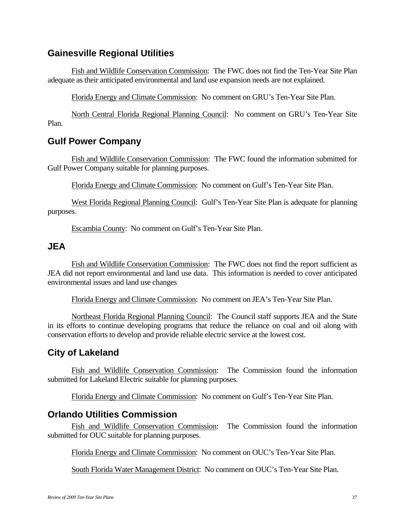## **Gainesville Regional Utilities**

Fish and Wildlife Conservation Commission: The FWC does not find the Ten-Year Site Plan adequate as their anticipated environmental and land use expansion needs are not explained.

Florida Energy and Climate Commission: No comment on GRU's Ten-Year Site Plan.

North Central Florida Regional Planning Council: No comment on GRU's Ten-Year Site Plan.

## **Gulf Power Company**

Fish and Wildlife Conservation Commission: The FWC found the information submitted for Gulf Power Company suitable for planning purposes.

Florida Energy and Climate Commission: No comment on Gulf's Ten-Year Site Plan.

West Florida Regional Planning Council: Gulf's Ten-Year Site Plan is adequate for planning purposes.

Escambia County: No comment on Gulf's Ten-Year Site Plan.

### **JEA**

Fish and Wildlife Conservation Commission: The FWC does not find the report sufficient as JEA did not report environmental and land use data. This information is needed to cover anticipated environmental issues and land use changes

Florida Energy and Climate Commission: No comment on JEA's Ten-Year Site Plan.

Northeast Florida Regional Planning Council: The Council staff supports JEA and the State in its efforts to continue developing programs that reduce the reliance on coal and oil along with conservation efforts to develop and provide reliable electric service at the lowest cost.

## **City of Lakeland**

Fish and Wildlife Conservation Commission: The Commission found the information submitted for Lakeland Electric suitable for planning purposes.

Florida Energy and Climate Commission: No comment on Gulf's Ten-Year Site Plan.

### **Orlando Utilities Commission**

Fish and Wildlife Conservation Commission: The Commission found the information submitted for OUC suitable for planning purposes.

Florida Energy and Climate Commission: No comment on OUC's Ten-Year Site Plan.

South Florida Water Management District: No comment on OUC's Ten-Year Site Plan.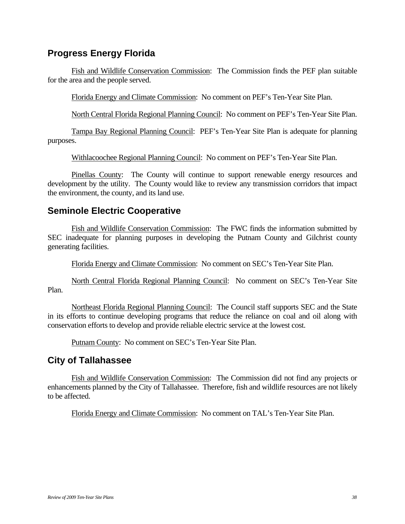## **Progress Energy Florida**

Fish and Wildlife Conservation Commission: The Commission finds the PEF plan suitable for the area and the people served.

Florida Energy and Climate Commission: No comment on PEF's Ten-Year Site Plan.

North Central Florida Regional Planning Council: No comment on PEF's Ten-Year Site Plan.

Tampa Bay Regional Planning Council: PEF's Ten-Year Site Plan is adequate for planning purposes.

Withlacoochee Regional Planning Council: No comment on PEF's Ten-Year Site Plan.

Pinellas County: The County will continue to support renewable energy resources and development by the utility. The County would like to review any transmission corridors that impact the environment, the county, and its land use.

## **Seminole Electric Cooperative**

Fish and Wildlife Conservation Commission: The FWC finds the information submitted by SEC inadequate for planning purposes in developing the Putnam County and Gilchrist county generating facilities.

Florida Energy and Climate Commission: No comment on SEC's Ten-Year Site Plan.

North Central Florida Regional Planning Council: No comment on SEC's Ten-Year Site Plan.

Northeast Florida Regional Planning Council: The Council staff supports SEC and the State in its efforts to continue developing programs that reduce the reliance on coal and oil along with conservation efforts to develop and provide reliable electric service at the lowest cost.

Putnam County: No comment on SEC's Ten-Year Site Plan.

## **City of Tallahassee**

Fish and Wildlife Conservation Commission: The Commission did not find any projects or enhancements planned by the City of Tallahassee. Therefore, fish and wildlife resources are not likely to be affected.

Florida Energy and Climate Commission: No comment on TAL's Ten-Year Site Plan.